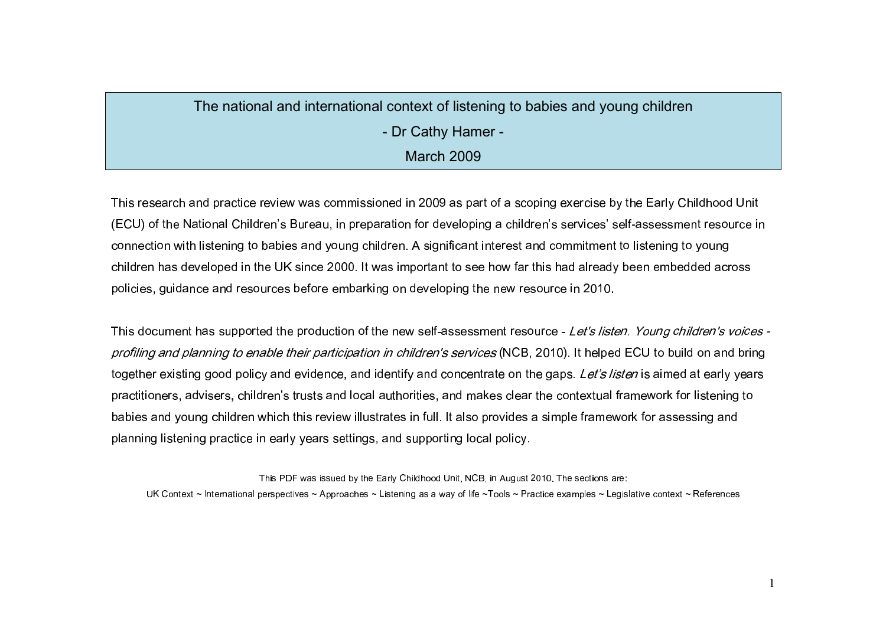# The national and international context of listening to babies and young children - Dr Cathy Hamer -**March 2009**

This research and practice review was commissioned in 2009 as part of a scoping exercise by the Early Childhood Unit (ECU) of the National Children's Bureau, in preparation for developing a children's services' self-assessment resource in connection with listening to babies and young children. A significant interest and commitment to listening to young children has developed in the UK since 2000. It was important to see how far this had already been embedded across policies, guidance and resources before embarking on developing the new resource in 2010.

This document has supported the production of the new self-assessment resource - Let's listen. Young children's voices profiling and planning to enable their participation in children's services (NCB, 2010). It helped ECU to build on and bring together existing good policy and evidence, and identify and concentrate on the gaps. Let's listen is aimed at early years practitioners, advisers, children's trusts and local authorities, and makes clear the contextual framework for listening to babies and young children which this review illustrates in full. It also provides a simple framework for assessing and planning listening practice in early years settings, and supporting local policy.

This PDF was issued by the Early Childhood Unit, NCB, in August 2010. The sections are: UK Context ~ International perspectives ~ Approaches ~ Listening as a way of life ~Tools ~ Practice examples ~ Legislative context ~ References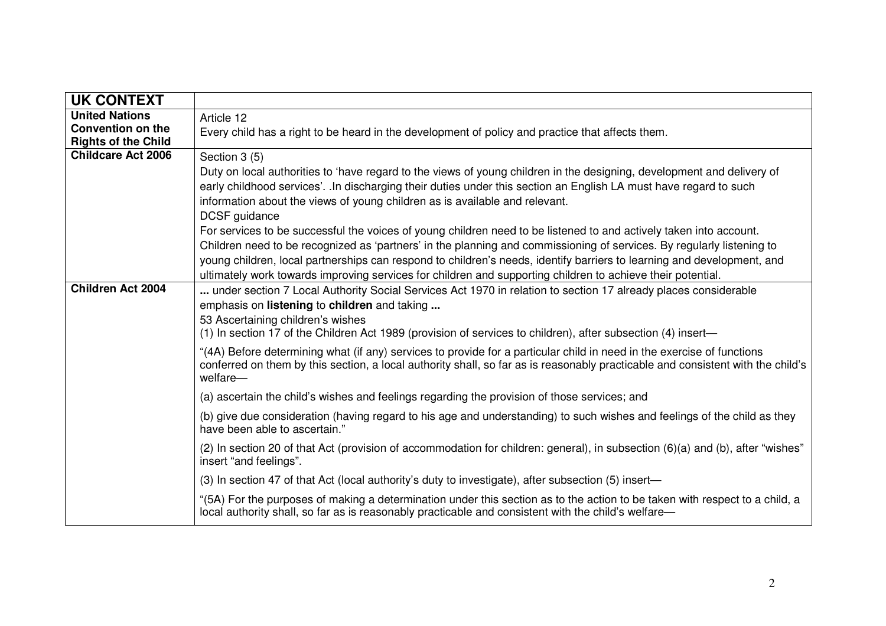| <b>UK CONTEXT</b>                                                               |                                                                                                                                                                                                                                                                                                                                                                                                                                                                                                                                                                                                                                                                                                                                       |
|---------------------------------------------------------------------------------|---------------------------------------------------------------------------------------------------------------------------------------------------------------------------------------------------------------------------------------------------------------------------------------------------------------------------------------------------------------------------------------------------------------------------------------------------------------------------------------------------------------------------------------------------------------------------------------------------------------------------------------------------------------------------------------------------------------------------------------|
| <b>United Nations</b><br><b>Convention on the</b><br><b>Rights of the Child</b> | Article 12<br>Every child has a right to be heard in the development of policy and practice that affects them.                                                                                                                                                                                                                                                                                                                                                                                                                                                                                                                                                                                                                        |
| <b>Childcare Act 2006</b>                                                       | Section 3 (5)<br>Duty on local authorities to 'have regard to the views of young children in the designing, development and delivery of<br>early childhood services'. .In discharging their duties under this section an English LA must have regard to such<br>information about the views of young children as is available and relevant.<br>DCSF guidance<br>For services to be successful the voices of young children need to be listened to and actively taken into account.<br>Children need to be recognized as 'partners' in the planning and commissioning of services. By regularly listening to<br>young children, local partnerships can respond to children's needs, identify barriers to learning and development, and |
|                                                                                 | ultimately work towards improving services for children and supporting children to achieve their potential.                                                                                                                                                                                                                                                                                                                                                                                                                                                                                                                                                                                                                           |
| <b>Children Act 2004</b>                                                        | under section 7 Local Authority Social Services Act 1970 in relation to section 17 already places considerable<br>emphasis on listening to children and taking<br>53 Ascertaining children's wishes<br>(1) In section 17 of the Children Act 1989 (provision of services to children), after subsection (4) insert—                                                                                                                                                                                                                                                                                                                                                                                                                   |
|                                                                                 | "(4A) Before determining what (if any) services to provide for a particular child in need in the exercise of functions<br>conferred on them by this section, a local authority shall, so far as is reasonably practicable and consistent with the child's<br>welfare-                                                                                                                                                                                                                                                                                                                                                                                                                                                                 |
|                                                                                 | (a) ascertain the child's wishes and feelings regarding the provision of those services; and                                                                                                                                                                                                                                                                                                                                                                                                                                                                                                                                                                                                                                          |
|                                                                                 | (b) give due consideration (having regard to his age and understanding) to such wishes and feelings of the child as they<br>have been able to ascertain."                                                                                                                                                                                                                                                                                                                                                                                                                                                                                                                                                                             |
|                                                                                 | (2) In section 20 of that Act (provision of accommodation for children: general), in subsection (6)(a) and (b), after "wishes"<br>insert "and feelings".                                                                                                                                                                                                                                                                                                                                                                                                                                                                                                                                                                              |
|                                                                                 | (3) In section 47 of that Act (local authority's duty to investigate), after subsection (5) insert—                                                                                                                                                                                                                                                                                                                                                                                                                                                                                                                                                                                                                                   |
|                                                                                 | "(5A) For the purposes of making a determination under this section as to the action to be taken with respect to a child, a<br>local authority shall, so far as is reasonably practicable and consistent with the child's welfare—                                                                                                                                                                                                                                                                                                                                                                                                                                                                                                    |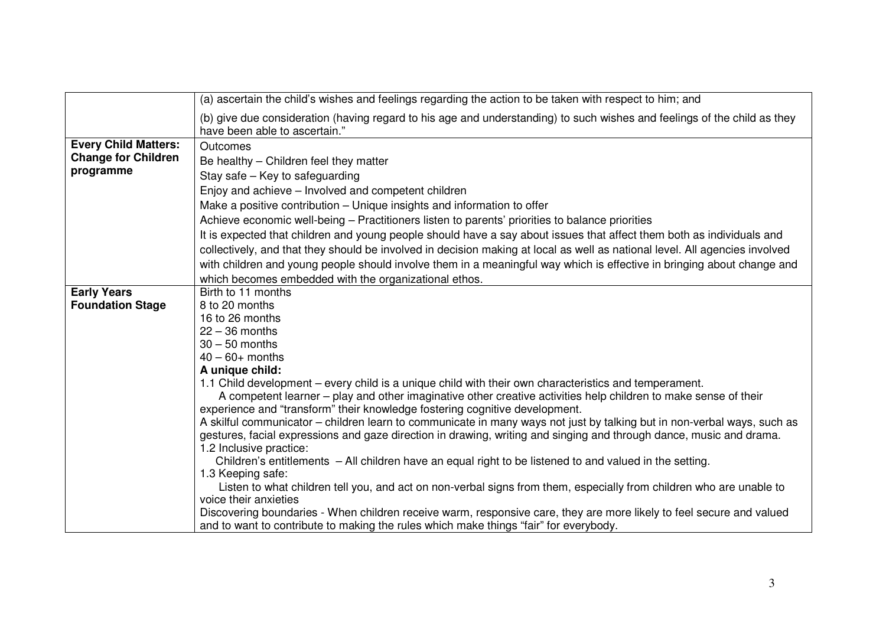|                             | (a) ascertain the child's wishes and feelings regarding the action to be taken with respect to him; and                                                   |
|-----------------------------|-----------------------------------------------------------------------------------------------------------------------------------------------------------|
|                             | (b) give due consideration (having regard to his age and understanding) to such wishes and feelings of the child as they<br>have been able to ascertain." |
| <b>Every Child Matters:</b> | Outcomes                                                                                                                                                  |
| <b>Change for Children</b>  | Be healthy - Children feel they matter                                                                                                                    |
| programme                   | Stay safe - Key to safeguarding                                                                                                                           |
|                             | Enjoy and achieve - Involved and competent children                                                                                                       |
|                             | Make a positive contribution – Unique insights and information to offer                                                                                   |
|                             | Achieve economic well-being - Practitioners listen to parents' priorities to balance priorities                                                           |
|                             | It is expected that children and young people should have a say about issues that affect them both as individuals and                                     |
|                             | collectively, and that they should be involved in decision making at local as well as national level. All agencies involved                               |
|                             | with children and young people should involve them in a meaningful way which is effective in bringing about change and                                    |
|                             | which becomes embedded with the organizational ethos.                                                                                                     |
| <b>Early Years</b>          | Birth to 11 months                                                                                                                                        |
| <b>Foundation Stage</b>     | 8 to 20 months                                                                                                                                            |
|                             | 16 to 26 months                                                                                                                                           |
|                             | $22 - 36$ months<br>$30 - 50$ months                                                                                                                      |
|                             | $40 - 60 +$ months                                                                                                                                        |
|                             | A unique child:                                                                                                                                           |
|                             | 1.1 Child development – every child is a unique child with their own characteristics and temperament.                                                     |
|                             | A competent learner – play and other imaginative other creative activities help children to make sense of their                                           |
|                             | experience and "transform" their knowledge fostering cognitive development.                                                                               |
|                             | A skilful communicator – children learn to communicate in many ways not just by talking but in non-verbal ways, such as                                   |
|                             | gestures, facial expressions and gaze direction in drawing, writing and singing and through dance, music and drama.                                       |
|                             | 1.2 Inclusive practice:<br>Children's entitlements - All children have an equal right to be listened to and valued in the setting.                        |
|                             | 1.3 Keeping safe:                                                                                                                                         |
|                             | Listen to what children tell you, and act on non-verbal signs from them, especially from children who are unable to                                       |
|                             | voice their anxieties                                                                                                                                     |
|                             | Discovering boundaries - When children receive warm, responsive care, they are more likely to feel secure and valued                                      |
|                             | and to want to contribute to making the rules which make things "fair" for everybody.                                                                     |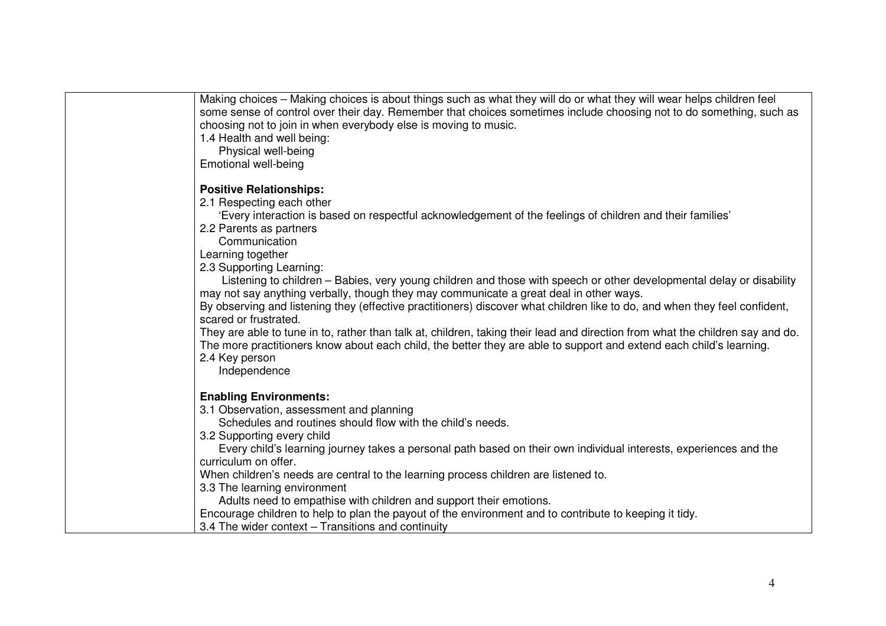| Making choices - Making choices is about things such as what they will do or what they will wear helps children feel<br>some sense of control over their day. Remember that choices sometimes include choosing not to do something, such as<br>choosing not to join in when everybody else is moving to music.<br>1.4 Health and well being:<br>Physical well-being<br>Emotional well-being |
|---------------------------------------------------------------------------------------------------------------------------------------------------------------------------------------------------------------------------------------------------------------------------------------------------------------------------------------------------------------------------------------------|
| <b>Positive Relationships:</b>                                                                                                                                                                                                                                                                                                                                                              |
| 2.1 Respecting each other                                                                                                                                                                                                                                                                                                                                                                   |
| 'Every interaction is based on respectful acknowledgement of the feelings of children and their families'                                                                                                                                                                                                                                                                                   |
| 2.2 Parents as partners                                                                                                                                                                                                                                                                                                                                                                     |
| Communication                                                                                                                                                                                                                                                                                                                                                                               |
| Learning together                                                                                                                                                                                                                                                                                                                                                                           |
| 2.3 Supporting Learning:                                                                                                                                                                                                                                                                                                                                                                    |
| Listening to children – Babies, very young children and those with speech or other developmental delay or disability                                                                                                                                                                                                                                                                        |
| may not say anything verbally, though they may communicate a great deal in other ways.<br>By observing and listening they (effective practitioners) discover what children like to do, and when they feel confident,                                                                                                                                                                        |
| scared or frustrated.                                                                                                                                                                                                                                                                                                                                                                       |
| They are able to tune in to, rather than talk at, children, taking their lead and direction from what the children say and do.                                                                                                                                                                                                                                                              |
| The more practitioners know about each child, the better they are able to support and extend each child's learning.                                                                                                                                                                                                                                                                         |
| 2.4 Key person                                                                                                                                                                                                                                                                                                                                                                              |
| Independence                                                                                                                                                                                                                                                                                                                                                                                |
| <b>Enabling Environments:</b>                                                                                                                                                                                                                                                                                                                                                               |
| 3.1 Observation, assessment and planning                                                                                                                                                                                                                                                                                                                                                    |
| Schedules and routines should flow with the child's needs.                                                                                                                                                                                                                                                                                                                                  |
| 3.2 Supporting every child                                                                                                                                                                                                                                                                                                                                                                  |
| Every child's learning journey takes a personal path based on their own individual interests, experiences and the                                                                                                                                                                                                                                                                           |
| curriculum on offer.                                                                                                                                                                                                                                                                                                                                                                        |
| When children's needs are central to the learning process children are listened to.                                                                                                                                                                                                                                                                                                         |
| 3.3 The learning environment                                                                                                                                                                                                                                                                                                                                                                |
| Adults need to empathise with children and support their emotions.                                                                                                                                                                                                                                                                                                                          |
| Encourage children to help to plan the payout of the environment and to contribute to keeping it tidy.                                                                                                                                                                                                                                                                                      |
| 3.4 The wider context - Transitions and continuity                                                                                                                                                                                                                                                                                                                                          |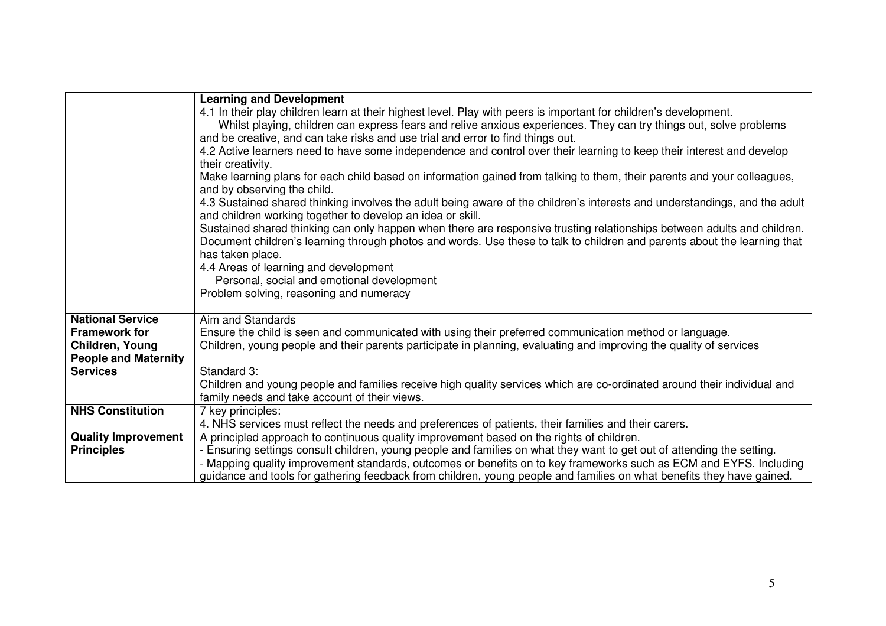|                             | <b>Learning and Development</b>                                                                                                                        |
|-----------------------------|--------------------------------------------------------------------------------------------------------------------------------------------------------|
|                             | 4.1 In their play children learn at their highest level. Play with peers is important for children's development.                                      |
|                             | Whilst playing, children can express fears and relive anxious experiences. They can try things out, solve problems                                     |
|                             | and be creative, and can take risks and use trial and error to find things out.                                                                        |
|                             | 4.2 Active learners need to have some independence and control over their learning to keep their interest and develop                                  |
|                             | their creativity.                                                                                                                                      |
|                             | Make learning plans for each child based on information gained from talking to them, their parents and your colleagues,<br>and by observing the child. |
|                             | 4.3 Sustained shared thinking involves the adult being aware of the children's interests and understandings, and the adult                             |
|                             | and children working together to develop an idea or skill.                                                                                             |
|                             | Sustained shared thinking can only happen when there are responsive trusting relationships between adults and children.                                |
|                             | Document children's learning through photos and words. Use these to talk to children and parents about the learning that                               |
|                             | has taken place.                                                                                                                                       |
|                             | 4.4 Areas of learning and development                                                                                                                  |
|                             | Personal, social and emotional development                                                                                                             |
|                             | Problem solving, reasoning and numeracy                                                                                                                |
| <b>National Service</b>     | Aim and Standards                                                                                                                                      |
| <b>Framework for</b>        | Ensure the child is seen and communicated with using their preferred communication method or language.                                                 |
| Children, Young             | Children, young people and their parents participate in planning, evaluating and improving the quality of services                                     |
| <b>People and Maternity</b> |                                                                                                                                                        |
| <b>Services</b>             | Standard 3:                                                                                                                                            |
|                             | Children and young people and families receive high quality services which are co-ordinated around their individual and                                |
|                             | family needs and take account of their views.                                                                                                          |
| <b>NHS Constitution</b>     | 7 key principles:                                                                                                                                      |
|                             | 4. NHS services must reflect the needs and preferences of patients, their families and their carers.                                                   |
| <b>Quality Improvement</b>  | A principled approach to continuous quality improvement based on the rights of children.                                                               |
| <b>Principles</b>           | - Ensuring settings consult children, young people and families on what they want to get out of attending the setting.                                 |
|                             | - Mapping quality improvement standards, outcomes or benefits on to key frameworks such as ECM and EYFS. Including                                     |
|                             | guidance and tools for gathering feedback from children, young people and families on what benefits they have gained.                                  |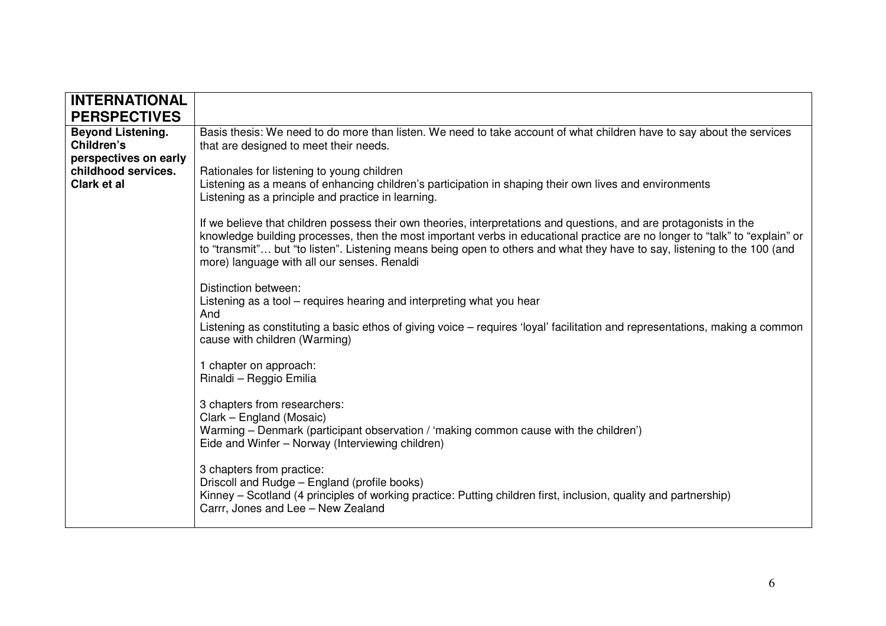| <b>INTERNATIONAL</b><br><b>PERSPECTIVES</b>                 |                                                                                                                                                                                                                                                                                                                                                                                                                              |
|-------------------------------------------------------------|------------------------------------------------------------------------------------------------------------------------------------------------------------------------------------------------------------------------------------------------------------------------------------------------------------------------------------------------------------------------------------------------------------------------------|
| <b>Beyond Listening.</b><br>Children's                      | Basis thesis: We need to do more than listen. We need to take account of what children have to say about the services<br>that are designed to meet their needs.                                                                                                                                                                                                                                                              |
| perspectives on early<br>childhood services.<br>Clark et al | Rationales for listening to young children<br>Listening as a means of enhancing children's participation in shaping their own lives and environments<br>Listening as a principle and practice in learning.                                                                                                                                                                                                                   |
|                                                             | If we believe that children possess their own theories, interpretations and questions, and are protagonists in the<br>knowledge building processes, then the most important verbs in educational practice are no longer to "talk" to "explain" or<br>to "transmit" but "to listen". Listening means being open to others and what they have to say, listening to the 100 (and<br>more) language with all our senses. Renaldi |
|                                                             | Distinction between:<br>Listening as a tool – requires hearing and interpreting what you hear<br>And                                                                                                                                                                                                                                                                                                                         |
|                                                             | Listening as constituting a basic ethos of giving voice – requires 'loyal' facilitation and representations, making a common<br>cause with children (Warming)                                                                                                                                                                                                                                                                |
|                                                             | 1 chapter on approach:<br>Rinaldi - Reggio Emilia                                                                                                                                                                                                                                                                                                                                                                            |
|                                                             | 3 chapters from researchers:<br>Clark - England (Mosaic)<br>Warming – Denmark (participant observation / 'making common cause with the children')<br>Eide and Winfer - Norway (Interviewing children)                                                                                                                                                                                                                        |
|                                                             | 3 chapters from practice:<br>Driscoll and Rudge - England (profile books)<br>Kinney – Scotland (4 principles of working practice: Putting children first, inclusion, quality and partnership)<br>Carrr, Jones and Lee - New Zealand                                                                                                                                                                                          |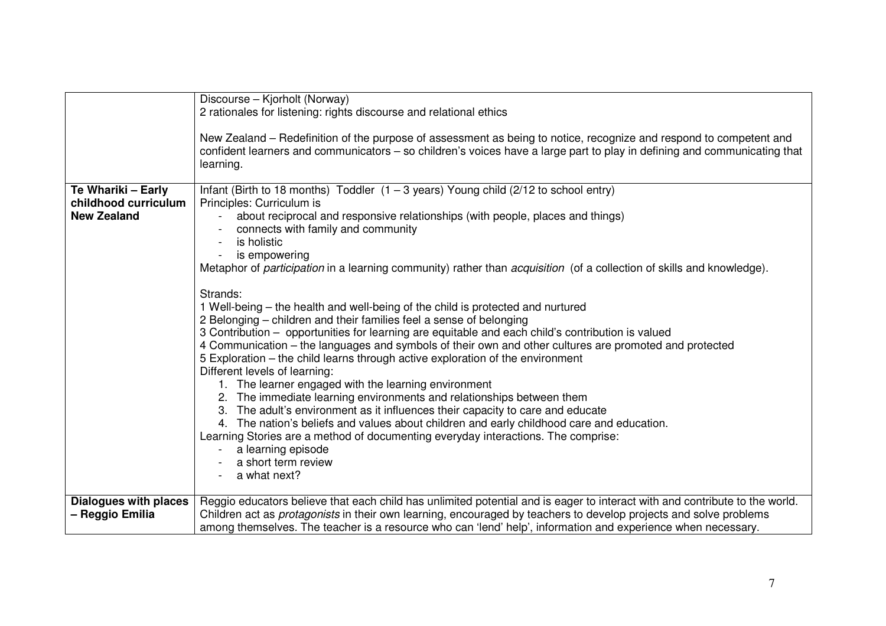|                                            | Discourse - Kjorholt (Norway)<br>2 rationales for listening: rights discourse and relational ethics                                                                                                                                                     |
|--------------------------------------------|---------------------------------------------------------------------------------------------------------------------------------------------------------------------------------------------------------------------------------------------------------|
|                                            |                                                                                                                                                                                                                                                         |
|                                            | New Zealand – Redefinition of the purpose of assessment as being to notice, recognize and respond to competent and                                                                                                                                      |
|                                            | confident learners and communicators – so children's voices have a large part to play in defining and communicating that<br>learning.                                                                                                                   |
|                                            |                                                                                                                                                                                                                                                         |
| Te Whariki - Early                         | Infant (Birth to 18 months) Toddler $(1 - 3$ years) Young child (2/12 to school entry)                                                                                                                                                                  |
| childhood curriculum<br><b>New Zealand</b> | Principles: Curriculum is<br>about reciprocal and responsive relationships (with people, places and things)                                                                                                                                             |
|                                            | connects with family and community                                                                                                                                                                                                                      |
|                                            | is holistic                                                                                                                                                                                                                                             |
|                                            | is empowering<br>Metaphor of <i>participation</i> in a learning community) rather than <i>acquisition</i> (of a collection of skills and knowledge).                                                                                                    |
|                                            |                                                                                                                                                                                                                                                         |
|                                            | Strands:<br>1 Well-being – the health and well-being of the child is protected and nurtured                                                                                                                                                             |
|                                            | 2 Belonging – children and their families feel a sense of belonging                                                                                                                                                                                     |
|                                            | 3 Contribution - opportunities for learning are equitable and each child's contribution is valued                                                                                                                                                       |
|                                            | 4 Communication – the languages and symbols of their own and other cultures are promoted and protected<br>5 Exploration – the child learns through active exploration of the environment                                                                |
|                                            | Different levels of learning:                                                                                                                                                                                                                           |
|                                            | 1. The learner engaged with the learning environment                                                                                                                                                                                                    |
|                                            | 2. The immediate learning environments and relationships between them<br>3. The adult's environment as it influences their capacity to care and educate                                                                                                 |
|                                            | 4. The nation's beliefs and values about children and early childhood care and education.                                                                                                                                                               |
|                                            | Learning Stories are a method of documenting everyday interactions. The comprise:                                                                                                                                                                       |
|                                            | a learning episode<br>a short term review                                                                                                                                                                                                               |
|                                            | a what next?                                                                                                                                                                                                                                            |
| <b>Dialogues with places</b>               |                                                                                                                                                                                                                                                         |
| - Reggio Emilia                            | Reggio educators believe that each child has unlimited potential and is eager to interact with and contribute to the world.<br>Children act as <i>protagonists</i> in their own learning, encouraged by teachers to develop projects and solve problems |
|                                            | among themselves. The teacher is a resource who can 'lend' help', information and experience when necessary.                                                                                                                                            |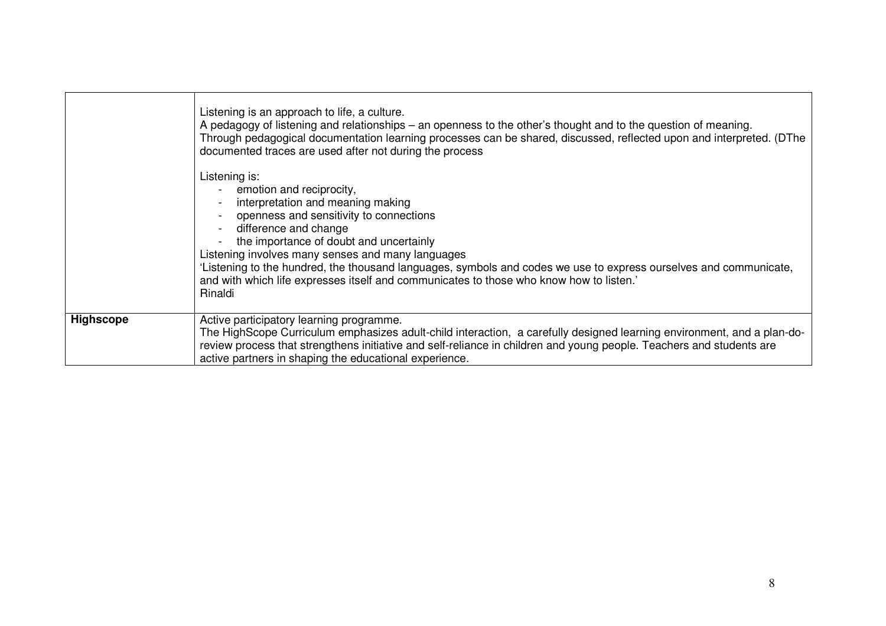|                  | Listening is an approach to life, a culture.<br>A pedagogy of listening and relationships – an openness to the other's thought and to the question of meaning.<br>Through pedagogical documentation learning processes can be shared, discussed, reflected upon and interpreted. (DThe<br>documented traces are used after not during the process                                                                                                                               |
|------------------|---------------------------------------------------------------------------------------------------------------------------------------------------------------------------------------------------------------------------------------------------------------------------------------------------------------------------------------------------------------------------------------------------------------------------------------------------------------------------------|
|                  | Listening is:<br>- emotion and reciprocity,<br>interpretation and meaning making<br>openness and sensitivity to connections<br>difference and change<br>the importance of doubt and uncertainly<br>Listening involves many senses and many languages<br>'Listening to the hundred, the thousand languages, symbols and codes we use to express ourselves and communicate,<br>and with which life expresses itself and communicates to those who know how to listen.'<br>Rinaldi |
| <b>Highscope</b> | Active participatory learning programme.<br>The HighScope Curriculum emphasizes adult-child interaction, a carefully designed learning environment, and a plan-do-<br>review process that strengthens initiative and self-reliance in children and young people. Teachers and students are<br>active partners in shaping the educational experience.                                                                                                                            |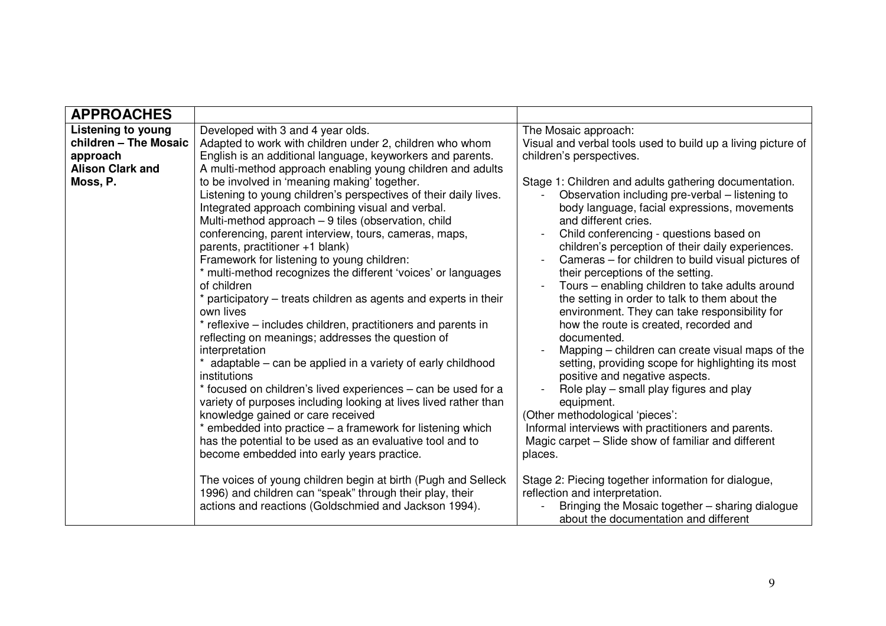| <b>APPROACHES</b>         |                                                                                                                                                                                                                                                                                                                                                                                                                                                                                                                                                                                                                                                                                                                                                                                                                                                                                                                                                                                                                                                                                                                   |                                                                                                                                                                                                                                                                                                                                                                                                                                                                                                                                                                                                                                                                                                                                                                                                                                                                                                                                                             |
|---------------------------|-------------------------------------------------------------------------------------------------------------------------------------------------------------------------------------------------------------------------------------------------------------------------------------------------------------------------------------------------------------------------------------------------------------------------------------------------------------------------------------------------------------------------------------------------------------------------------------------------------------------------------------------------------------------------------------------------------------------------------------------------------------------------------------------------------------------------------------------------------------------------------------------------------------------------------------------------------------------------------------------------------------------------------------------------------------------------------------------------------------------|-------------------------------------------------------------------------------------------------------------------------------------------------------------------------------------------------------------------------------------------------------------------------------------------------------------------------------------------------------------------------------------------------------------------------------------------------------------------------------------------------------------------------------------------------------------------------------------------------------------------------------------------------------------------------------------------------------------------------------------------------------------------------------------------------------------------------------------------------------------------------------------------------------------------------------------------------------------|
| <b>Listening to young</b> | Developed with 3 and 4 year olds.                                                                                                                                                                                                                                                                                                                                                                                                                                                                                                                                                                                                                                                                                                                                                                                                                                                                                                                                                                                                                                                                                 | The Mosaic approach:                                                                                                                                                                                                                                                                                                                                                                                                                                                                                                                                                                                                                                                                                                                                                                                                                                                                                                                                        |
| children - The Mosaic     | Adapted to work with children under 2, children who whom                                                                                                                                                                                                                                                                                                                                                                                                                                                                                                                                                                                                                                                                                                                                                                                                                                                                                                                                                                                                                                                          | Visual and verbal tools used to build up a living picture of                                                                                                                                                                                                                                                                                                                                                                                                                                                                                                                                                                                                                                                                                                                                                                                                                                                                                                |
| approach                  | English is an additional language, keyworkers and parents.                                                                                                                                                                                                                                                                                                                                                                                                                                                                                                                                                                                                                                                                                                                                                                                                                                                                                                                                                                                                                                                        | children's perspectives.                                                                                                                                                                                                                                                                                                                                                                                                                                                                                                                                                                                                                                                                                                                                                                                                                                                                                                                                    |
| <b>Alison Clark and</b>   | A multi-method approach enabling young children and adults                                                                                                                                                                                                                                                                                                                                                                                                                                                                                                                                                                                                                                                                                                                                                                                                                                                                                                                                                                                                                                                        |                                                                                                                                                                                                                                                                                                                                                                                                                                                                                                                                                                                                                                                                                                                                                                                                                                                                                                                                                             |
| Moss, P.                  | to be involved in 'meaning making' together.<br>Listening to young children's perspectives of their daily lives.<br>Integrated approach combining visual and verbal.<br>Multi-method approach - 9 tiles (observation, child<br>conferencing, parent interview, tours, cameras, maps,<br>parents, practitioner +1 blank)<br>Framework for listening to young children:<br>* multi-method recognizes the different 'voices' or languages<br>of children<br>* participatory – treats children as agents and experts in their<br>own lives<br>* reflexive – includes children, practitioners and parents in<br>reflecting on meanings; addresses the question of<br>interpretation<br>* adaptable – can be applied in a variety of early childhood<br>institutions<br>* focused on children's lived experiences - can be used for a<br>variety of purposes including looking at lives lived rather than<br>knowledge gained or care received<br>* embedded into practice - a framework for listening which<br>has the potential to be used as an evaluative tool and to<br>become embedded into early years practice. | Stage 1: Children and adults gathering documentation.<br>Observation including pre-verbal - listening to<br>body language, facial expressions, movements<br>and different cries.<br>Child conferencing - questions based on<br>children's perception of their daily experiences.<br>Cameras - for children to build visual pictures of<br>their perceptions of the setting.<br>Tours - enabling children to take adults around<br>the setting in order to talk to them about the<br>environment. They can take responsibility for<br>how the route is created, recorded and<br>documented.<br>Mapping – children can create visual maps of the<br>setting, providing scope for highlighting its most<br>positive and negative aspects.<br>Role play – small play figures and play<br>equipment.<br>(Other methodological 'pieces':<br>Informal interviews with practitioners and parents.<br>Magic carpet – Slide show of familiar and different<br>places. |
|                           | The voices of young children begin at birth (Pugh and Selleck<br>1996) and children can "speak" through their play, their<br>actions and reactions (Goldschmied and Jackson 1994).                                                                                                                                                                                                                                                                                                                                                                                                                                                                                                                                                                                                                                                                                                                                                                                                                                                                                                                                | Stage 2: Piecing together information for dialogue,<br>reflection and interpretation.<br>Bringing the Mosaic together - sharing dialogue<br>about the documentation and different                                                                                                                                                                                                                                                                                                                                                                                                                                                                                                                                                                                                                                                                                                                                                                           |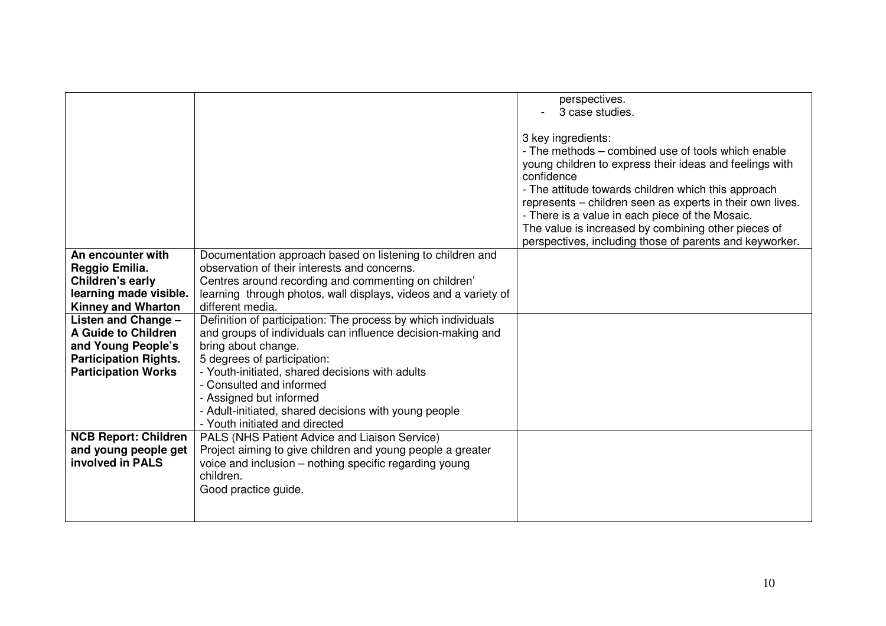|                              |                                                                                         | perspectives.<br>3 case studies.                                                                                                                                                                                                                                                                                                                                                                                                           |
|------------------------------|-----------------------------------------------------------------------------------------|--------------------------------------------------------------------------------------------------------------------------------------------------------------------------------------------------------------------------------------------------------------------------------------------------------------------------------------------------------------------------------------------------------------------------------------------|
|                              |                                                                                         | 3 key ingredients:<br>- The methods – combined use of tools which enable<br>young children to express their ideas and feelings with<br>confidence<br>- The attitude towards children which this approach<br>represents - children seen as experts in their own lives.<br>- There is a value in each piece of the Mosaic.<br>The value is increased by combining other pieces of<br>perspectives, including those of parents and keyworker. |
| An encounter with            | Documentation approach based on listening to children and                               |                                                                                                                                                                                                                                                                                                                                                                                                                                            |
| Reggio Emilia.               | observation of their interests and concerns.                                            |                                                                                                                                                                                                                                                                                                                                                                                                                                            |
| Children's early             | Centres around recording and commenting on children'                                    |                                                                                                                                                                                                                                                                                                                                                                                                                                            |
| learning made visible.       | learning through photos, wall displays, videos and a variety of                         |                                                                                                                                                                                                                                                                                                                                                                                                                                            |
| <b>Kinney and Wharton</b>    | different media.                                                                        |                                                                                                                                                                                                                                                                                                                                                                                                                                            |
| Listen and Change -          | Definition of participation: The process by which individuals                           |                                                                                                                                                                                                                                                                                                                                                                                                                                            |
| A Guide to Children          | and groups of individuals can influence decision-making and                             |                                                                                                                                                                                                                                                                                                                                                                                                                                            |
| and Young People's           | bring about change.                                                                     |                                                                                                                                                                                                                                                                                                                                                                                                                                            |
| <b>Participation Rights.</b> | 5 degrees of participation:                                                             |                                                                                                                                                                                                                                                                                                                                                                                                                                            |
| <b>Participation Works</b>   | - Youth-initiated, shared decisions with adults                                         |                                                                                                                                                                                                                                                                                                                                                                                                                                            |
|                              | - Consulted and informed                                                                |                                                                                                                                                                                                                                                                                                                                                                                                                                            |
|                              | - Assigned but informed                                                                 |                                                                                                                                                                                                                                                                                                                                                                                                                                            |
|                              | - Adult-initiated, shared decisions with young people<br>- Youth initiated and directed |                                                                                                                                                                                                                                                                                                                                                                                                                                            |
| <b>NCB Report: Children</b>  | PALS (NHS Patient Advice and Liaison Service)                                           |                                                                                                                                                                                                                                                                                                                                                                                                                                            |
| and young people get         | Project aiming to give children and young people a greater                              |                                                                                                                                                                                                                                                                                                                                                                                                                                            |
| involved in PALS             | voice and inclusion – nothing specific regarding young                                  |                                                                                                                                                                                                                                                                                                                                                                                                                                            |
|                              | children.                                                                               |                                                                                                                                                                                                                                                                                                                                                                                                                                            |
|                              | Good practice guide.                                                                    |                                                                                                                                                                                                                                                                                                                                                                                                                                            |
|                              |                                                                                         |                                                                                                                                                                                                                                                                                                                                                                                                                                            |
|                              |                                                                                         |                                                                                                                                                                                                                                                                                                                                                                                                                                            |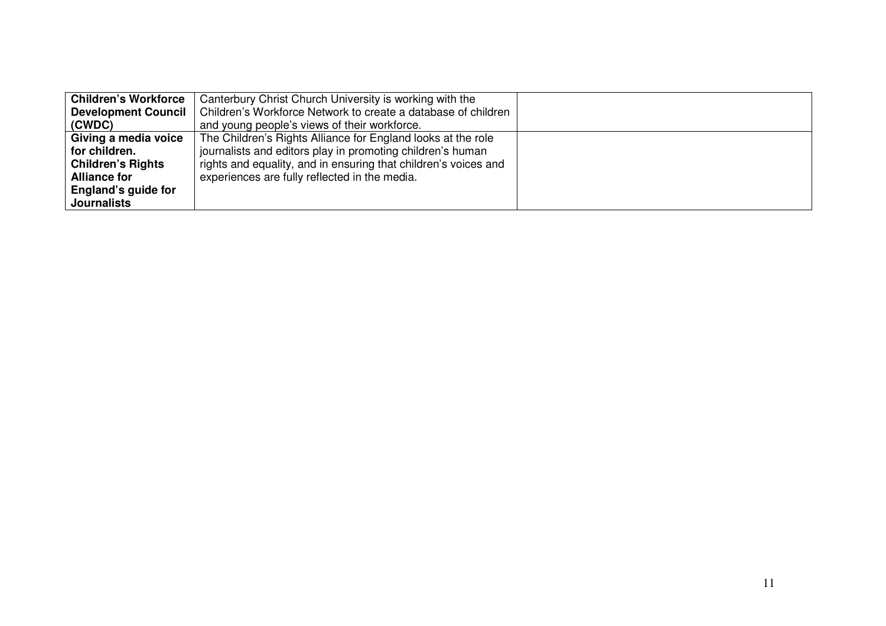| <b>Children's Workforce</b> | Canterbury Christ Church University is working with the         |  |
|-----------------------------|-----------------------------------------------------------------|--|
| <b>Development Council</b>  | Children's Workforce Network to create a database of children   |  |
| (CWDC)                      | and young people's views of their workforce.                    |  |
| Giving a media voice        | The Children's Rights Alliance for England looks at the role    |  |
| for children.               | journalists and editors play in promoting children's human      |  |
| <b>Children's Rights</b>    | rights and equality, and in ensuring that children's voices and |  |
| <b>Alliance for</b>         | experiences are fully reflected in the media.                   |  |
| England's guide for         |                                                                 |  |
| <b>Journalists</b>          |                                                                 |  |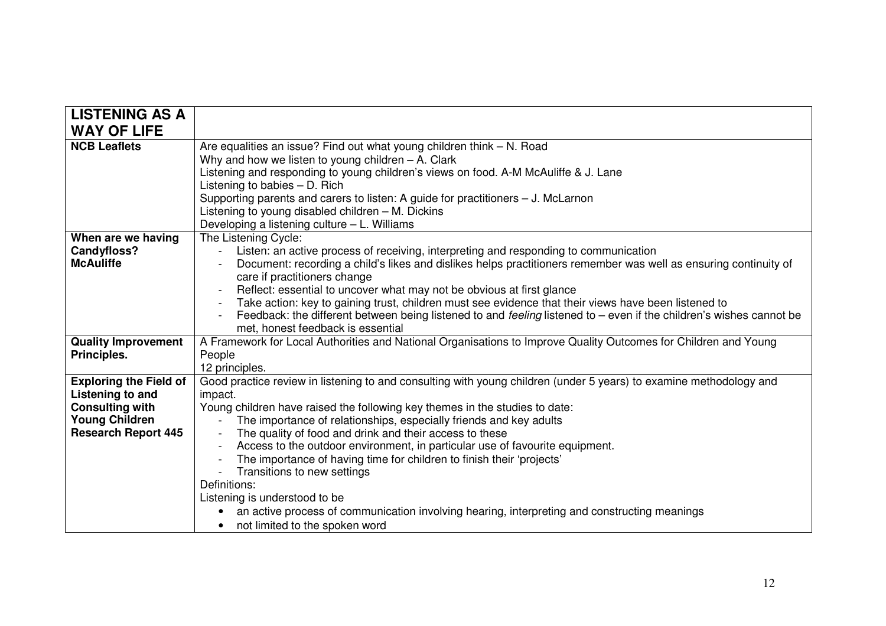| <b>LISTENING AS A</b>         |                                                                                                                                                                                                 |
|-------------------------------|-------------------------------------------------------------------------------------------------------------------------------------------------------------------------------------------------|
| <b>WAY OF LIFE</b>            |                                                                                                                                                                                                 |
| <b>NCB Leaflets</b>           | Are equalities an issue? Find out what young children think - N. Road<br>Why and how we listen to young children $-$ A. Clark                                                                   |
|                               | Listening and responding to young children's views on food. A-M McAuliffe & J. Lane                                                                                                             |
|                               | Listening to babies $-$ D. Rich                                                                                                                                                                 |
|                               | Supporting parents and carers to listen: A guide for practitioners - J. McLarnon                                                                                                                |
|                               | Listening to young disabled children - M. Dickins                                                                                                                                               |
|                               | Developing a listening culture - L. Williams                                                                                                                                                    |
| When are we having            | The Listening Cycle:                                                                                                                                                                            |
| <b>Candyfloss?</b>            | Listen: an active process of receiving, interpreting and responding to communication                                                                                                            |
| <b>McAuliffe</b>              | Document: recording a child's likes and dislikes helps practitioners remember was well as ensuring continuity of                                                                                |
|                               | care if practitioners change                                                                                                                                                                    |
|                               | Reflect: essential to uncover what may not be obvious at first glance<br>Take action: key to gaining trust, children must see evidence that their views have been listened to<br>$\blacksquare$ |
|                               | Feedback: the different between being listened to and feeling listened to – even if the children's wishes cannot be                                                                             |
|                               | met, honest feedback is essential                                                                                                                                                               |
| <b>Quality Improvement</b>    | A Framework for Local Authorities and National Organisations to Improve Quality Outcomes for Children and Young                                                                                 |
| Principles.                   | People                                                                                                                                                                                          |
|                               | 12 principles.                                                                                                                                                                                  |
| <b>Exploring the Field of</b> | Good practice review in listening to and consulting with young children (under 5 years) to examine methodology and                                                                              |
| Listening to and              | impact.                                                                                                                                                                                         |
| <b>Consulting with</b>        | Young children have raised the following key themes in the studies to date:                                                                                                                     |
| <b>Young Children</b>         | The importance of relationships, especially friends and key adults                                                                                                                              |
| <b>Research Report 445</b>    | The quality of food and drink and their access to these                                                                                                                                         |
|                               | Access to the outdoor environment, in particular use of favourite equipment.<br>$\sim$                                                                                                          |
|                               | The importance of having time for children to finish their 'projects'                                                                                                                           |
|                               | Transitions to new settings                                                                                                                                                                     |
|                               | Definitions:                                                                                                                                                                                    |
|                               | Listening is understood to be                                                                                                                                                                   |
|                               | an active process of communication involving hearing, interpreting and constructing meanings                                                                                                    |
|                               | not limited to the spoken word                                                                                                                                                                  |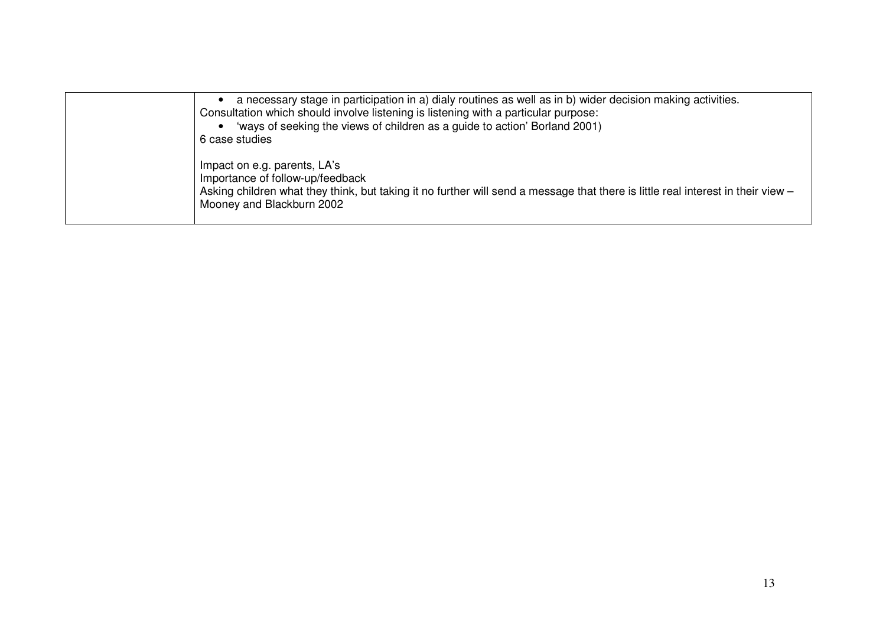| a necessary stage in participation in a) dialy routines as well as in b) wider decision making activities.<br>Consultation which should involve listening is listening with a particular purpose:<br>'ways of seeking the views of children as a guide to action' Borland 2001)<br>6 case studies |
|---------------------------------------------------------------------------------------------------------------------------------------------------------------------------------------------------------------------------------------------------------------------------------------------------|
| Impact on e.g. parents, LA's<br>Importance of follow-up/feedback<br>Asking children what they think, but taking it no further will send a message that there is little real interest in their view -<br>Mooney and Blackburn 2002                                                                 |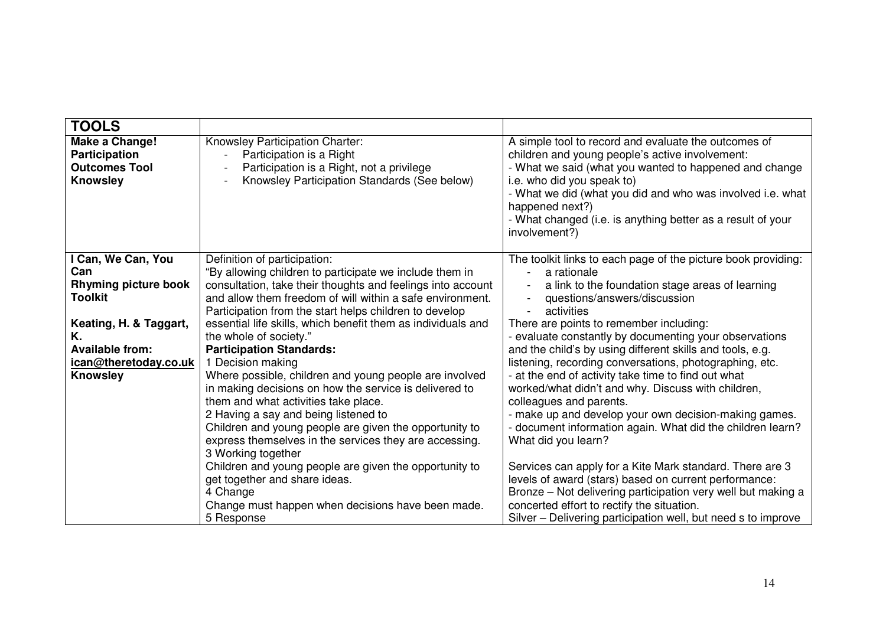| <b>TOOLS</b>                                                                                                                                                                     |                                                                                                                                                                                                                                                                                                                                                                                                                                                                                                                                                                                                                                                                                                                                                                                                                                                                                                                                                         |                                                                                                                                                                                                                                                                                                                                                                                                                                                                                                                                                                                                                                                                                                                                                                                                                                                                                                                                                                                                       |
|----------------------------------------------------------------------------------------------------------------------------------------------------------------------------------|---------------------------------------------------------------------------------------------------------------------------------------------------------------------------------------------------------------------------------------------------------------------------------------------------------------------------------------------------------------------------------------------------------------------------------------------------------------------------------------------------------------------------------------------------------------------------------------------------------------------------------------------------------------------------------------------------------------------------------------------------------------------------------------------------------------------------------------------------------------------------------------------------------------------------------------------------------|-------------------------------------------------------------------------------------------------------------------------------------------------------------------------------------------------------------------------------------------------------------------------------------------------------------------------------------------------------------------------------------------------------------------------------------------------------------------------------------------------------------------------------------------------------------------------------------------------------------------------------------------------------------------------------------------------------------------------------------------------------------------------------------------------------------------------------------------------------------------------------------------------------------------------------------------------------------------------------------------------------|
| Make a Change!<br><b>Participation</b><br><b>Outcomes Tool</b><br><b>Knowsley</b>                                                                                                | Knowsley Participation Charter:<br>Participation is a Right<br>Participation is a Right, not a privilege<br>Knowsley Participation Standards (See below)                                                                                                                                                                                                                                                                                                                                                                                                                                                                                                                                                                                                                                                                                                                                                                                                | A simple tool to record and evaluate the outcomes of<br>children and young people's active involvement:<br>- What we said (what you wanted to happened and change<br>i.e. who did you speak to)<br>- What we did (what you did and who was involved i.e. what<br>happened next?)<br>- What changed (i.e. is anything better as a result of your<br>involvement?)                                                                                                                                                                                                                                                                                                                                                                                                                                                                                                                                                                                                                                      |
| I Can, We Can, You<br>Can<br><b>Rhyming picture book</b><br><b>Toolkit</b><br>Keating, H. & Taggart,<br>Κ.<br><b>Available from:</b><br>ican@theretoday.co.uk<br><b>Knowsley</b> | Definition of participation:<br>"By allowing children to participate we include them in<br>consultation, take their thoughts and feelings into account<br>and allow them freedom of will within a safe environment.<br>Participation from the start helps children to develop<br>essential life skills, which benefit them as individuals and<br>the whole of society."<br><b>Participation Standards:</b><br>1 Decision making<br>Where possible, children and young people are involved<br>in making decisions on how the service is delivered to<br>them and what activities take place.<br>2 Having a say and being listened to<br>Children and young people are given the opportunity to<br>express themselves in the services they are accessing.<br>3 Working together<br>Children and young people are given the opportunity to<br>get together and share ideas.<br>4 Change<br>Change must happen when decisions have been made.<br>5 Response | The toolkit links to each page of the picture book providing:<br>a rationale<br>a link to the foundation stage areas of learning<br>questions/answers/discussion<br>activities<br>There are points to remember including:<br>- evaluate constantly by documenting your observations<br>and the child's by using different skills and tools, e.g.<br>listening, recording conversations, photographing, etc.<br>- at the end of activity take time to find out what<br>worked/what didn't and why. Discuss with children,<br>colleagues and parents.<br>- make up and develop your own decision-making games.<br>- document information again. What did the children learn?<br>What did you learn?<br>Services can apply for a Kite Mark standard. There are 3<br>levels of award (stars) based on current performance:<br>Bronze - Not delivering participation very well but making a<br>concerted effort to rectify the situation.<br>Silver - Delivering participation well, but need s to improve |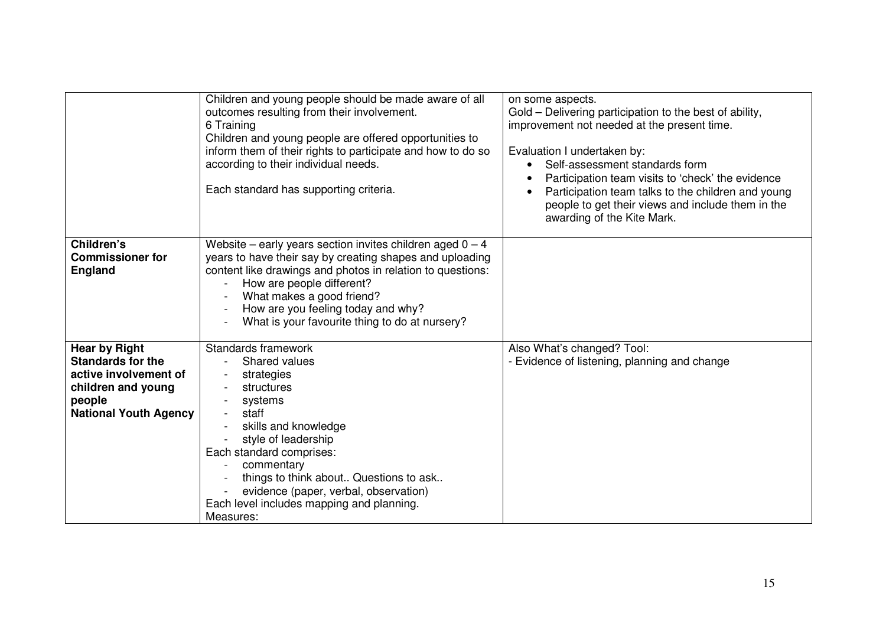|                                                                                                                                           | Children and young people should be made aware of all<br>outcomes resulting from their involvement.<br>6 Training<br>Children and young people are offered opportunities to<br>inform them of their rights to participate and how to do so<br>according to their individual needs.<br>Each standard has supporting criteria.            | on some aspects.<br>Gold – Delivering participation to the best of ability,<br>improvement not needed at the present time.<br>Evaluation I undertaken by:<br>Self-assessment standards form<br>Participation team visits to 'check' the evidence<br>Participation team talks to the children and young<br>people to get their views and include them in the<br>awarding of the Kite Mark. |
|-------------------------------------------------------------------------------------------------------------------------------------------|-----------------------------------------------------------------------------------------------------------------------------------------------------------------------------------------------------------------------------------------------------------------------------------------------------------------------------------------|-------------------------------------------------------------------------------------------------------------------------------------------------------------------------------------------------------------------------------------------------------------------------------------------------------------------------------------------------------------------------------------------|
| Children's<br><b>Commissioner for</b><br><b>England</b>                                                                                   | Website – early years section invites children aged $0 - 4$<br>years to have their say by creating shapes and uploading<br>content like drawings and photos in relation to questions:<br>How are people different?<br>What makes a good friend?<br>How are you feeling today and why?<br>What is your favourite thing to do at nursery? |                                                                                                                                                                                                                                                                                                                                                                                           |
| <b>Hear by Right</b><br><b>Standards for the</b><br>active involvement of<br>children and young<br>people<br><b>National Youth Agency</b> | Standards framework<br>Shared values<br>strategies<br>structures<br>systems<br>staff<br>skills and knowledge<br>style of leadership<br>Each standard comprises:<br>commentary<br>things to think about Questions to ask<br>evidence (paper, verbal, observation)<br>Each level includes mapping and planning.<br>Measures:              | Also What's changed? Tool:<br>- Evidence of listening, planning and change                                                                                                                                                                                                                                                                                                                |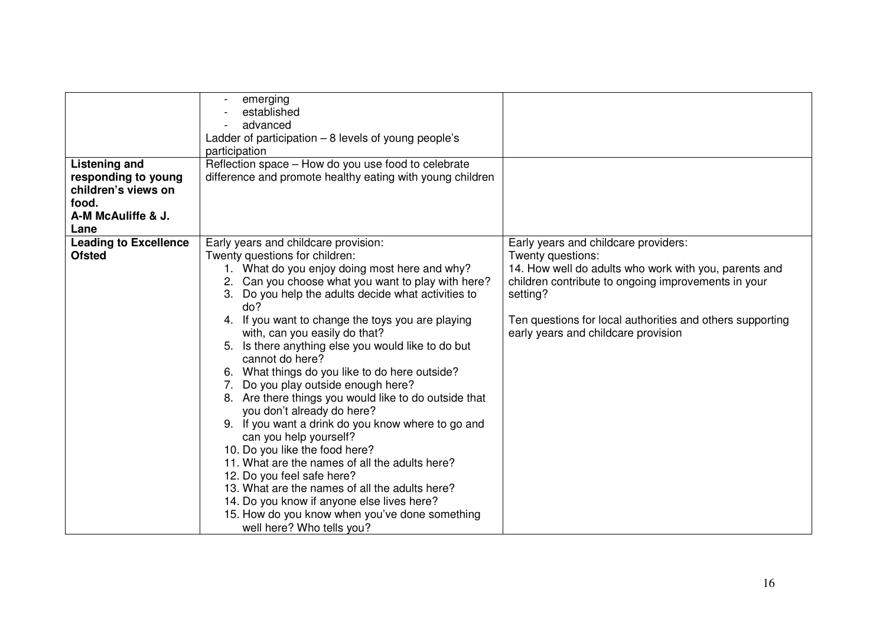|                              | emerging<br>established                                   |                                                           |
|------------------------------|-----------------------------------------------------------|-----------------------------------------------------------|
|                              | advanced                                                  |                                                           |
|                              | Ladder of participation $-8$ levels of young people's     |                                                           |
|                              | participation                                             |                                                           |
| <b>Listening and</b>         | Reflection space - How do you use food to celebrate       |                                                           |
| responding to young          | difference and promote healthy eating with young children |                                                           |
| children's views on          |                                                           |                                                           |
| food.                        |                                                           |                                                           |
| A-M McAuliffe & J.           |                                                           |                                                           |
| Lane                         |                                                           |                                                           |
| <b>Leading to Excellence</b> | Early years and childcare provision:                      | Early years and childcare providers:                      |
| <b>Ofsted</b>                | Twenty questions for children:                            | Twenty questions:                                         |
|                              | 1. What do you enjoy doing most here and why?             | 14. How well do adults who work with you, parents and     |
|                              | Can you choose what you want to play with here?<br>2.     | children contribute to ongoing improvements in your       |
|                              | Do you help the adults decide what activities to<br>3.    | setting?                                                  |
|                              | do?                                                       |                                                           |
|                              | 4. If you want to change the toys you are playing         | Ten questions for local authorities and others supporting |
|                              | with, can you easily do that?                             | early years and childcare provision                       |
|                              | Is there anything else you would like to do but<br>5.     |                                                           |
|                              | cannot do here?                                           |                                                           |
|                              | 6. What things do you like to do here outside?            |                                                           |
|                              | Do you play outside enough here?<br>7.                    |                                                           |
|                              | 8. Are there things you would like to do outside that     |                                                           |
|                              | you don't already do here?                                |                                                           |
|                              | 9. If you want a drink do you know where to go and        |                                                           |
|                              | can you help yourself?                                    |                                                           |
|                              | 10. Do you like the food here?                            |                                                           |
|                              | 11. What are the names of all the adults here?            |                                                           |
|                              | 12. Do you feel safe here?                                |                                                           |
|                              | 13. What are the names of all the adults here?            |                                                           |
|                              | 14. Do you know if anyone else lives here?                |                                                           |
|                              | 15. How do you know when you've done something            |                                                           |
|                              | well here? Who tells you?                                 |                                                           |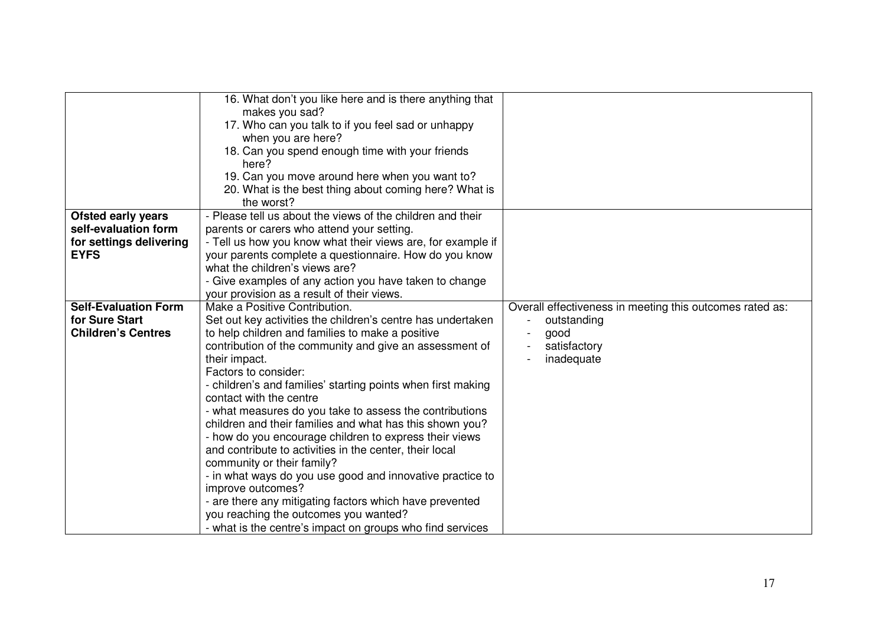|                             | 16. What don't you like here and is there anything that<br>makes you sad? |                                                          |
|-----------------------------|---------------------------------------------------------------------------|----------------------------------------------------------|
|                             | 17. Who can you talk to if you feel sad or unhappy                        |                                                          |
|                             | when you are here?                                                        |                                                          |
|                             | 18. Can you spend enough time with your friends                           |                                                          |
|                             | here?                                                                     |                                                          |
|                             | 19. Can you move around here when you want to?                            |                                                          |
|                             | 20. What is the best thing about coming here? What is                     |                                                          |
|                             | the worst?                                                                |                                                          |
| <b>Ofsted early years</b>   | - Please tell us about the views of the children and their                |                                                          |
| self-evaluation form        | parents or carers who attend your setting.                                |                                                          |
| for settings delivering     | - Tell us how you know what their views are, for example if               |                                                          |
| <b>EYFS</b>                 | your parents complete a questionnaire. How do you know                    |                                                          |
|                             | what the children's views are?                                            |                                                          |
|                             | - Give examples of any action you have taken to change                    |                                                          |
|                             | your provision as a result of their views.                                |                                                          |
| <b>Self-Evaluation Form</b> | Make a Positive Contribution.                                             | Overall effectiveness in meeting this outcomes rated as: |
| for Sure Start              | Set out key activities the children's centre has undertaken               | outstanding                                              |
| <b>Children's Centres</b>   | to help children and families to make a positive                          | good                                                     |
|                             | contribution of the community and give an assessment of                   | satisfactory                                             |
|                             | their impact.                                                             | inadequate                                               |
|                             | Factors to consider:                                                      |                                                          |
|                             | - children's and families' starting points when first making              |                                                          |
|                             | contact with the centre                                                   |                                                          |
|                             | - what measures do you take to assess the contributions                   |                                                          |
|                             | children and their families and what has this shown you?                  |                                                          |
|                             | - how do you encourage children to express their views                    |                                                          |
|                             | and contribute to activities in the center, their local                   |                                                          |
|                             | community or their family?                                                |                                                          |
|                             | - in what ways do you use good and innovative practice to                 |                                                          |
|                             | improve outcomes?                                                         |                                                          |
|                             | - are there any mitigating factors which have prevented                   |                                                          |
|                             | you reaching the outcomes you wanted?                                     |                                                          |
|                             | - what is the centre's impact on groups who find services                 |                                                          |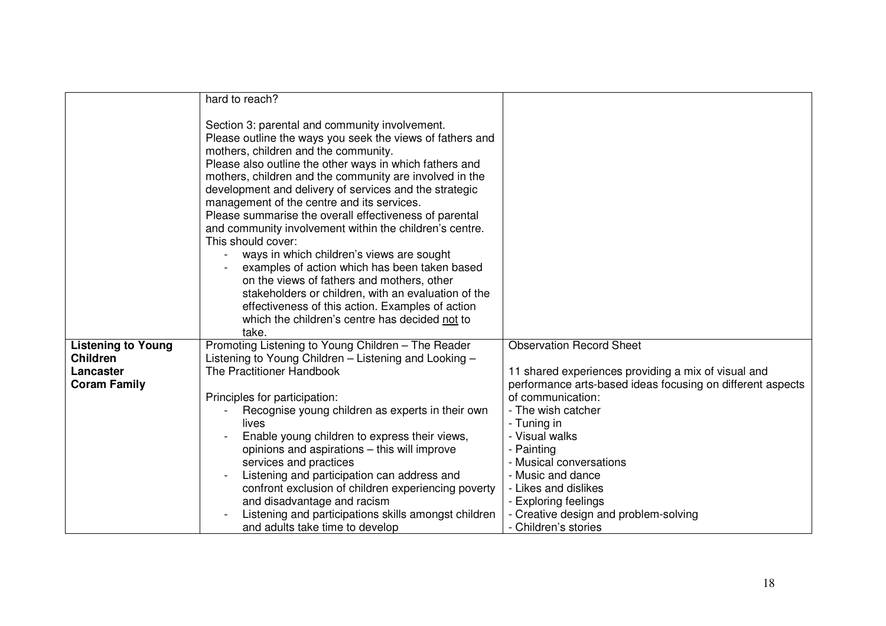|                           | hard to reach?                                                                                                                                                                                                                                                                                                                                                                                                                                                                                                                                                                                                                                                                                                                                                                                                                                 |                                                            |
|---------------------------|------------------------------------------------------------------------------------------------------------------------------------------------------------------------------------------------------------------------------------------------------------------------------------------------------------------------------------------------------------------------------------------------------------------------------------------------------------------------------------------------------------------------------------------------------------------------------------------------------------------------------------------------------------------------------------------------------------------------------------------------------------------------------------------------------------------------------------------------|------------------------------------------------------------|
|                           | Section 3: parental and community involvement.<br>Please outline the ways you seek the views of fathers and<br>mothers, children and the community.<br>Please also outline the other ways in which fathers and<br>mothers, children and the community are involved in the<br>development and delivery of services and the strategic<br>management of the centre and its services.<br>Please summarise the overall effectiveness of parental<br>and community involvement within the children's centre.<br>This should cover:<br>ways in which children's views are sought<br>examples of action which has been taken based<br>on the views of fathers and mothers, other<br>stakeholders or children, with an evaluation of the<br>effectiveness of this action. Examples of action<br>which the children's centre has decided not to<br>take. |                                                            |
| <b>Listening to Young</b> | Promoting Listening to Young Children - The Reader                                                                                                                                                                                                                                                                                                                                                                                                                                                                                                                                                                                                                                                                                                                                                                                             | <b>Observation Record Sheet</b>                            |
| <b>Children</b>           | Listening to Young Children - Listening and Looking -                                                                                                                                                                                                                                                                                                                                                                                                                                                                                                                                                                                                                                                                                                                                                                                          |                                                            |
|                           |                                                                                                                                                                                                                                                                                                                                                                                                                                                                                                                                                                                                                                                                                                                                                                                                                                                |                                                            |
| Lancaster                 | The Practitioner Handbook                                                                                                                                                                                                                                                                                                                                                                                                                                                                                                                                                                                                                                                                                                                                                                                                                      | 11 shared experiences providing a mix of visual and        |
| <b>Coram Family</b>       |                                                                                                                                                                                                                                                                                                                                                                                                                                                                                                                                                                                                                                                                                                                                                                                                                                                | performance arts-based ideas focusing on different aspects |
|                           | Principles for participation:                                                                                                                                                                                                                                                                                                                                                                                                                                                                                                                                                                                                                                                                                                                                                                                                                  | of communication:                                          |
|                           | Recognise young children as experts in their own                                                                                                                                                                                                                                                                                                                                                                                                                                                                                                                                                                                                                                                                                                                                                                                               | - The wish catcher                                         |
|                           | lives                                                                                                                                                                                                                                                                                                                                                                                                                                                                                                                                                                                                                                                                                                                                                                                                                                          | - Tuning in                                                |
|                           | Enable young children to express their views,                                                                                                                                                                                                                                                                                                                                                                                                                                                                                                                                                                                                                                                                                                                                                                                                  | - Visual walks                                             |
|                           | opinions and aspirations - this will improve                                                                                                                                                                                                                                                                                                                                                                                                                                                                                                                                                                                                                                                                                                                                                                                                   | - Painting                                                 |
|                           | services and practices                                                                                                                                                                                                                                                                                                                                                                                                                                                                                                                                                                                                                                                                                                                                                                                                                         | - Musical conversations                                    |
|                           | Listening and participation can address and                                                                                                                                                                                                                                                                                                                                                                                                                                                                                                                                                                                                                                                                                                                                                                                                    | - Music and dance                                          |
|                           | confront exclusion of children experiencing poverty                                                                                                                                                                                                                                                                                                                                                                                                                                                                                                                                                                                                                                                                                                                                                                                            | - Likes and dislikes                                       |
|                           | and disadvantage and racism                                                                                                                                                                                                                                                                                                                                                                                                                                                                                                                                                                                                                                                                                                                                                                                                                    | - Exploring feelings                                       |
|                           | Listening and participations skills amongst children                                                                                                                                                                                                                                                                                                                                                                                                                                                                                                                                                                                                                                                                                                                                                                                           | - Creative design and problem-solving                      |
|                           | and adults take time to develop                                                                                                                                                                                                                                                                                                                                                                                                                                                                                                                                                                                                                                                                                                                                                                                                                | - Children's stories                                       |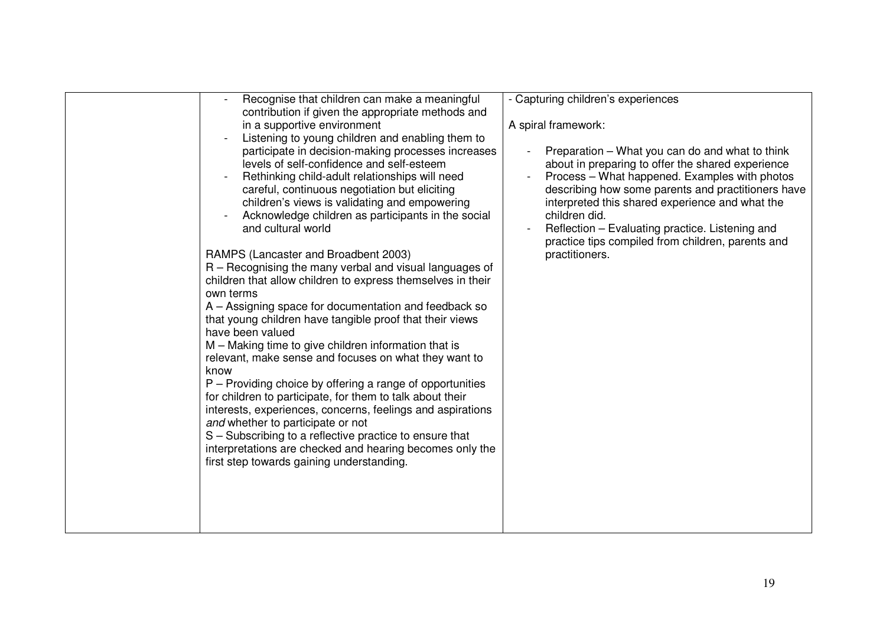| Recognise that children can make a meaningful<br>contribution if given the appropriate methods and                                                                                                                                                                                                                                                                                                                                                                                                                                                                                                                                                                                                                                                                                                                                                                                                                                                                                                                                                                                                                                                                                                                                    | - Capturing children's experiences                                                                                                                                                                                                                                                                                                                                                                        |
|---------------------------------------------------------------------------------------------------------------------------------------------------------------------------------------------------------------------------------------------------------------------------------------------------------------------------------------------------------------------------------------------------------------------------------------------------------------------------------------------------------------------------------------------------------------------------------------------------------------------------------------------------------------------------------------------------------------------------------------------------------------------------------------------------------------------------------------------------------------------------------------------------------------------------------------------------------------------------------------------------------------------------------------------------------------------------------------------------------------------------------------------------------------------------------------------------------------------------------------|-----------------------------------------------------------------------------------------------------------------------------------------------------------------------------------------------------------------------------------------------------------------------------------------------------------------------------------------------------------------------------------------------------------|
| in a supportive environment                                                                                                                                                                                                                                                                                                                                                                                                                                                                                                                                                                                                                                                                                                                                                                                                                                                                                                                                                                                                                                                                                                                                                                                                           | A spiral framework:                                                                                                                                                                                                                                                                                                                                                                                       |
| Listening to young children and enabling them to<br>participate in decision-making processes increases<br>levels of self-confidence and self-esteem<br>Rethinking child-adult relationships will need<br>careful, continuous negotiation but eliciting<br>children's views is validating and empowering<br>Acknowledge children as participants in the social<br>and cultural world<br>RAMPS (Lancaster and Broadbent 2003)<br>R – Recognising the many verbal and visual languages of<br>children that allow children to express themselves in their<br>own terms<br>A - Assigning space for documentation and feedback so<br>that young children have tangible proof that their views<br>have been valued<br>M - Making time to give children information that is<br>relevant, make sense and focuses on what they want to<br>know<br>P – Providing choice by offering a range of opportunities<br>for children to participate, for them to talk about their<br>interests, experiences, concerns, feelings and aspirations<br>and whether to participate or not<br>S - Subscribing to a reflective practice to ensure that<br>interpretations are checked and hearing becomes only the<br>first step towards gaining understanding. | Preparation – What you can do and what to think<br>about in preparing to offer the shared experience<br>Process - What happened. Examples with photos<br>describing how some parents and practitioners have<br>interpreted this shared experience and what the<br>children did.<br>Reflection - Evaluating practice. Listening and<br>practice tips compiled from children, parents and<br>practitioners. |
|                                                                                                                                                                                                                                                                                                                                                                                                                                                                                                                                                                                                                                                                                                                                                                                                                                                                                                                                                                                                                                                                                                                                                                                                                                       |                                                                                                                                                                                                                                                                                                                                                                                                           |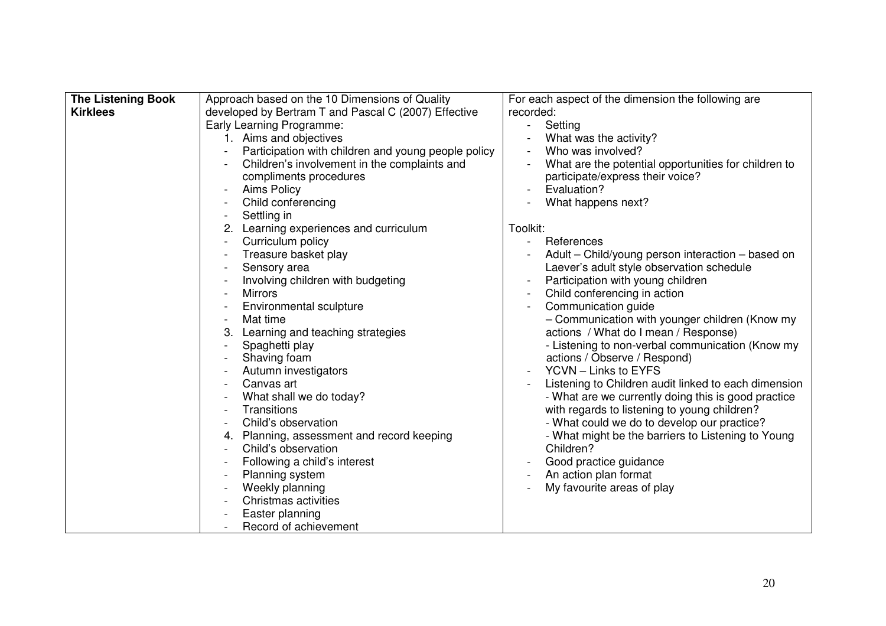| <b>The Listening Book</b> | Approach based on the 10 Dimensions of Quality       | For each aspect of the dimension the following are   |
|---------------------------|------------------------------------------------------|------------------------------------------------------|
| <b>Kirklees</b>           | developed by Bertram T and Pascal C (2007) Effective | recorded:                                            |
|                           | Early Learning Programme:                            | Setting<br>$\frac{1}{2}$                             |
|                           | 1. Aims and objectives                               | What was the activity?                               |
|                           | Participation with children and young people policy  | Who was involved?                                    |
|                           | Children's involvement in the complaints and         | What are the potential opportunities for children to |
|                           | compliments procedures                               | participate/express their voice?                     |
|                           | <b>Aims Policy</b>                                   | Evaluation?<br>$\blacksquare$                        |
|                           | Child conferencing                                   | What happens next?                                   |
|                           | Settling in                                          |                                                      |
|                           | Learning experiences and curriculum                  | Toolkit:                                             |
|                           | Curriculum policy                                    | References<br>$\sim$                                 |
|                           | Treasure basket play                                 | Adult - Child/young person interaction - based on    |
|                           | Sensory area                                         | Laever's adult style observation schedule            |
|                           | Involving children with budgeting                    | Participation with young children                    |
|                           | <b>Mirrors</b>                                       | Child conferencing in action                         |
|                           | Environmental sculpture                              | Communication guide                                  |
|                           | Mat time                                             | - Communication with younger children (Know my       |
|                           | Learning and teaching strategies<br>3.               | actions / What do I mean / Response)                 |
|                           | Spaghetti play                                       | - Listening to non-verbal communication (Know my     |
|                           | Shaving foam                                         | actions / Observe / Respond)                         |
|                           | Autumn investigators                                 | YCVN - Links to EYFS                                 |
|                           | Canvas art                                           | Listening to Children audit linked to each dimension |
|                           | What shall we do today?                              | - What are we currently doing this is good practice  |
|                           | Transitions                                          | with regards to listening to young children?         |
|                           | Child's observation                                  | - What could we do to develop our practice?          |
|                           | Planning, assessment and record keeping              | - What might be the barriers to Listening to Young   |
|                           | Child's observation                                  | Children?                                            |
|                           | Following a child's interest                         | Good practice guidance                               |
|                           | Planning system                                      | An action plan format                                |
|                           | Weekly planning                                      | My favourite areas of play                           |
|                           | Christmas activities                                 |                                                      |
|                           | Easter planning                                      |                                                      |
|                           | Record of achievement                                |                                                      |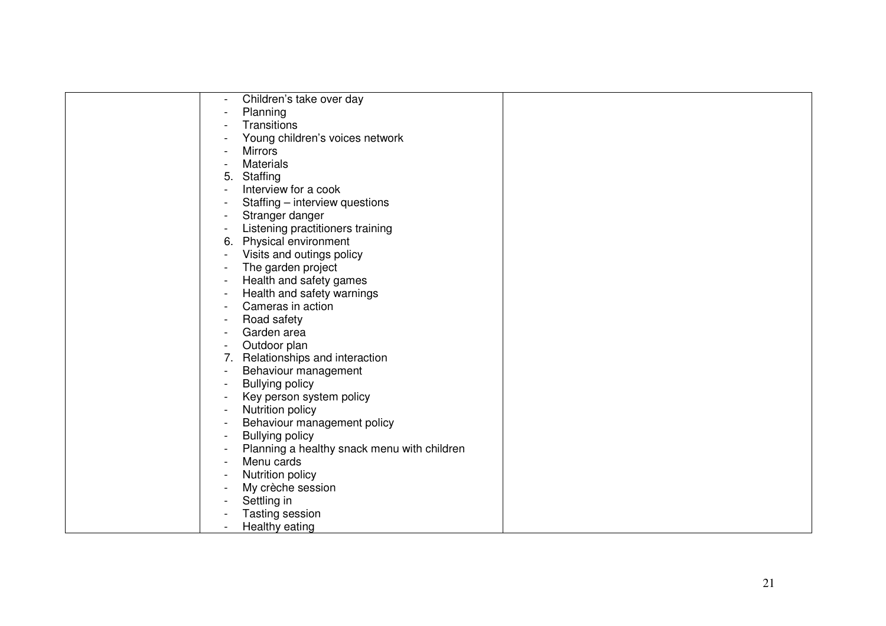| Children's take over day                    |  |
|---------------------------------------------|--|
| Planning                                    |  |
| Transitions                                 |  |
| Young children's voices network             |  |
| <b>Mirrors</b>                              |  |
| <b>Materials</b>                            |  |
| Staffing<br>5.                              |  |
| Interview for a cook                        |  |
| Staffing - interview questions              |  |
| Stranger danger                             |  |
| Listening practitioners training            |  |
| 6. Physical environment                     |  |
| Visits and outings policy                   |  |
| The garden project                          |  |
| Health and safety games                     |  |
| Health and safety warnings                  |  |
| Cameras in action                           |  |
| Road safety                                 |  |
| Garden area                                 |  |
| Outdoor plan                                |  |
| Relationships and interaction<br>7.         |  |
| Behaviour management                        |  |
| <b>Bullying policy</b>                      |  |
| Key person system policy                    |  |
| Nutrition policy                            |  |
| Behaviour management policy                 |  |
| <b>Bullying policy</b>                      |  |
| Planning a healthy snack menu with children |  |
| Menu cards                                  |  |
| Nutrition policy                            |  |
| My crèche session                           |  |
| Settling in                                 |  |
| Tasting session                             |  |
| Healthy eating                              |  |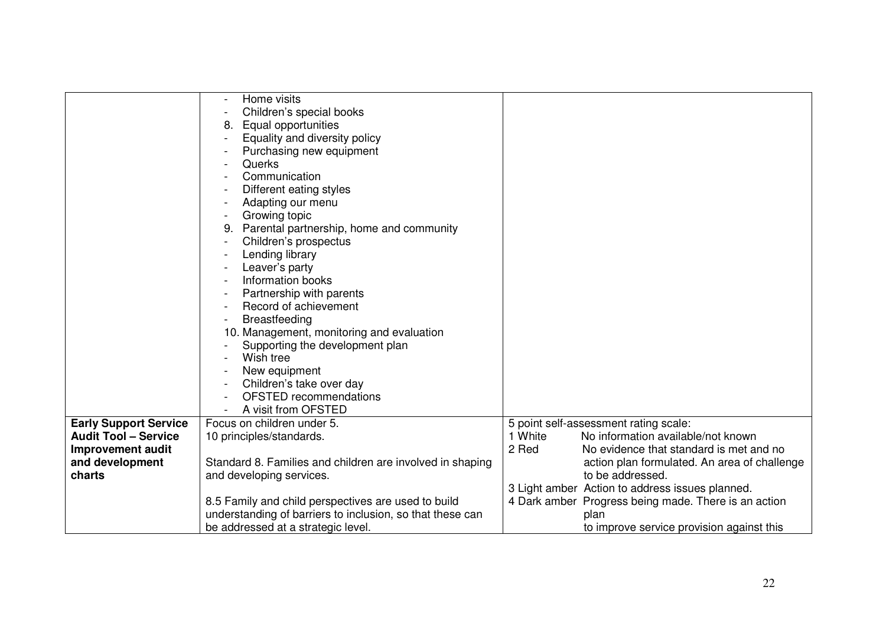|                              | Home visits                                               |                                                      |
|------------------------------|-----------------------------------------------------------|------------------------------------------------------|
|                              | Children's special books                                  |                                                      |
|                              | Equal opportunities                                       |                                                      |
|                              | Equality and diversity policy                             |                                                      |
|                              | Purchasing new equipment                                  |                                                      |
|                              | Querks                                                    |                                                      |
|                              | Communication                                             |                                                      |
|                              | Different eating styles                                   |                                                      |
|                              | Adapting our menu                                         |                                                      |
|                              | Growing topic                                             |                                                      |
|                              | 9. Parental partnership, home and community               |                                                      |
|                              | Children's prospectus                                     |                                                      |
|                              | Lending library                                           |                                                      |
|                              | Leaver's party                                            |                                                      |
|                              | Information books                                         |                                                      |
|                              | Partnership with parents                                  |                                                      |
|                              | Record of achievement                                     |                                                      |
|                              | <b>Breastfeeding</b>                                      |                                                      |
|                              | 10. Management, monitoring and evaluation                 |                                                      |
|                              | Supporting the development plan                           |                                                      |
|                              | Wish tree                                                 |                                                      |
|                              | New equipment                                             |                                                      |
|                              | Children's take over day                                  |                                                      |
|                              | <b>OFSTED</b> recommendations                             |                                                      |
|                              | A visit from OFSTED                                       |                                                      |
| <b>Early Support Service</b> | Focus on children under 5.                                | 5 point self-assessment rating scale:                |
| <b>Audit Tool - Service</b>  | 10 principles/standards.                                  | 1 White<br>No information available/not known        |
| <b>Improvement audit</b>     |                                                           | 2 Red<br>No evidence that standard is met and no     |
| and development              | Standard 8. Families and children are involved in shaping | action plan formulated. An area of challenge         |
| charts                       | and developing services.                                  | to be addressed.                                     |
|                              |                                                           | 3 Light amber Action to address issues planned.      |
|                              | 8.5 Family and child perspectives are used to build       | 4 Dark amber Progress being made. There is an action |
|                              | understanding of barriers to inclusion, so that these can | plan                                                 |
|                              | be addressed at a strategic level.                        | to improve service provision against this            |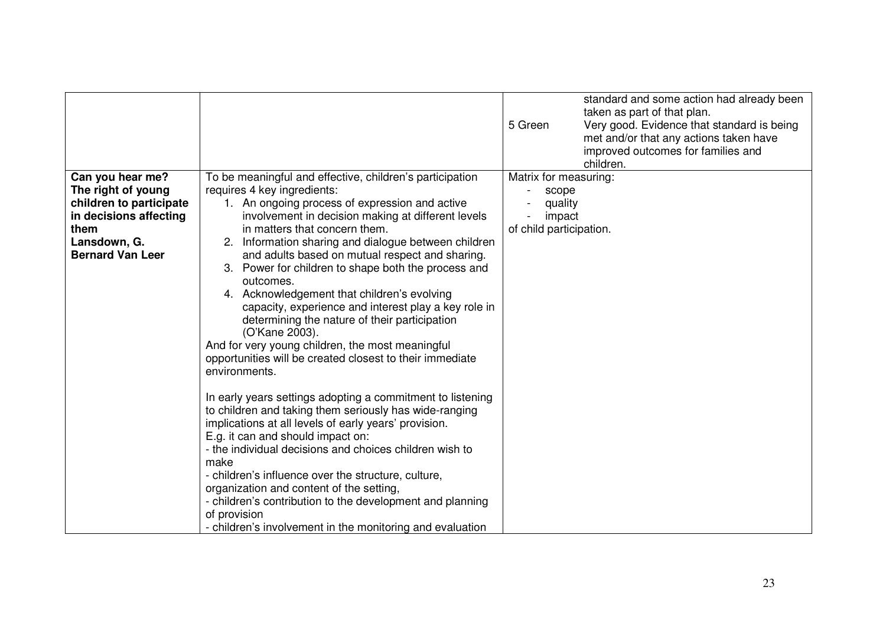|                                                                                                                                                |                                                                                                                                                                                                                                                                                                                                                                                                                                                                                                                                                                                                                                                                                                                                                                                                                                                                                                                                                                                                                                                                                                                                                                                                                                                               | standard and some action had already been<br>taken as part of that plan.<br>5 Green<br>Very good. Evidence that standard is being<br>met and/or that any actions taken have<br>improved outcomes for families and<br>children. |
|------------------------------------------------------------------------------------------------------------------------------------------------|---------------------------------------------------------------------------------------------------------------------------------------------------------------------------------------------------------------------------------------------------------------------------------------------------------------------------------------------------------------------------------------------------------------------------------------------------------------------------------------------------------------------------------------------------------------------------------------------------------------------------------------------------------------------------------------------------------------------------------------------------------------------------------------------------------------------------------------------------------------------------------------------------------------------------------------------------------------------------------------------------------------------------------------------------------------------------------------------------------------------------------------------------------------------------------------------------------------------------------------------------------------|--------------------------------------------------------------------------------------------------------------------------------------------------------------------------------------------------------------------------------|
| Can you hear me?<br>The right of young<br>children to participate<br>in decisions affecting<br>them<br>Lansdown, G.<br><b>Bernard Van Leer</b> | To be meaningful and effective, children's participation<br>requires 4 key ingredients:<br>1. An ongoing process of expression and active<br>involvement in decision making at different levels<br>in matters that concern them.<br>Information sharing and dialogue between children<br>and adults based on mutual respect and sharing.<br>3. Power for children to shape both the process and<br>outcomes.<br>4. Acknowledgement that children's evolving<br>capacity, experience and interest play a key role in<br>determining the nature of their participation<br>(O'Kane 2003).<br>And for very young children, the most meaningful<br>opportunities will be created closest to their immediate<br>environments.<br>In early years settings adopting a commitment to listening<br>to children and taking them seriously has wide-ranging<br>implications at all levels of early years' provision.<br>E.g. it can and should impact on:<br>- the individual decisions and choices children wish to<br>make<br>- children's influence over the structure, culture,<br>organization and content of the setting,<br>- children's contribution to the development and planning<br>of provision<br>- children's involvement in the monitoring and evaluation | Matrix for measuring:<br>scope<br>quality<br>impact<br>of child participation.                                                                                                                                                 |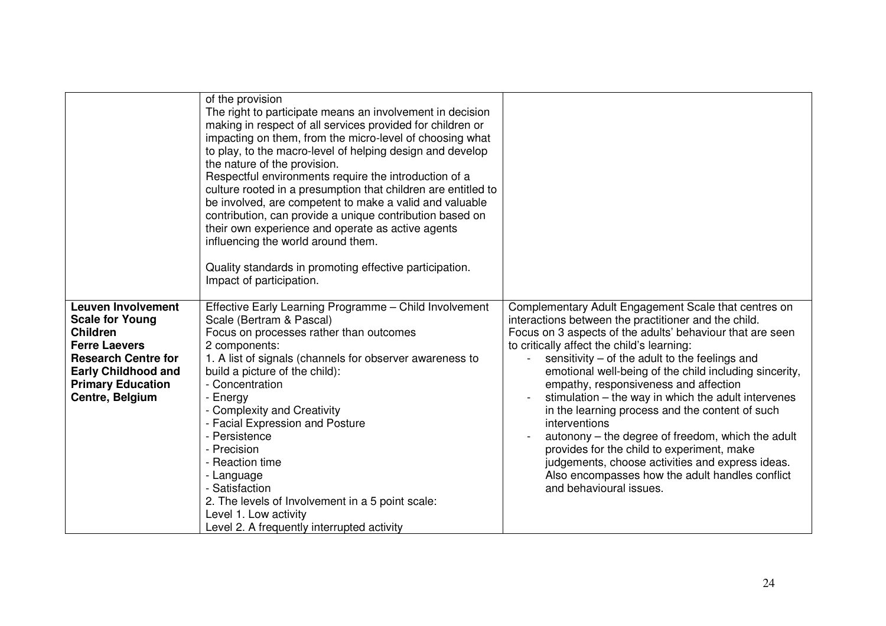|                                                                                                                                                                                                           | of the provision<br>The right to participate means an involvement in decision<br>making in respect of all services provided for children or<br>impacting on them, from the micro-level of choosing what<br>to play, to the macro-level of helping design and develop<br>the nature of the provision.<br>Respectful environments require the introduction of a<br>culture rooted in a presumption that children are entitled to<br>be involved, are competent to make a valid and valuable<br>contribution, can provide a unique contribution based on<br>their own experience and operate as active agents<br>influencing the world around them.<br>Quality standards in promoting effective participation.<br>Impact of participation. |                                                                                                                                                                                                                                                                                                                                                                                                                                                                                                                                                                                                                                                                                                                                                                |
|-----------------------------------------------------------------------------------------------------------------------------------------------------------------------------------------------------------|-----------------------------------------------------------------------------------------------------------------------------------------------------------------------------------------------------------------------------------------------------------------------------------------------------------------------------------------------------------------------------------------------------------------------------------------------------------------------------------------------------------------------------------------------------------------------------------------------------------------------------------------------------------------------------------------------------------------------------------------|----------------------------------------------------------------------------------------------------------------------------------------------------------------------------------------------------------------------------------------------------------------------------------------------------------------------------------------------------------------------------------------------------------------------------------------------------------------------------------------------------------------------------------------------------------------------------------------------------------------------------------------------------------------------------------------------------------------------------------------------------------------|
| <b>Leuven Involvement</b><br><b>Scale for Young</b><br><b>Children</b><br><b>Ferre Laevers</b><br><b>Research Centre for</b><br><b>Early Childhood and</b><br><b>Primary Education</b><br>Centre, Belgium | Effective Early Learning Programme - Child Involvement<br>Scale (Bertram & Pascal)<br>Focus on processes rather than outcomes<br>2 components:<br>1. A list of signals (channels for observer awareness to<br>build a picture of the child):<br>- Concentration<br>- Energy<br>- Complexity and Creativity<br>- Facial Expression and Posture<br>- Persistence<br>- Precision<br>- Reaction time<br>- Language<br>- Satisfaction<br>2. The levels of Involvement in a 5 point scale:<br>Level 1. Low activity<br>Level 2. A frequently interrupted activity                                                                                                                                                                             | Complementary Adult Engagement Scale that centres on<br>interactions between the practitioner and the child.<br>Focus on 3 aspects of the adults' behaviour that are seen<br>to critically affect the child's learning:<br>sensitivity $-$ of the adult to the feelings and<br>$\mathbf{r}$<br>emotional well-being of the child including sincerity,<br>empathy, responsiveness and affection<br>stimulation – the way in which the adult intervenes<br>in the learning process and the content of such<br>interventions<br>autonony – the degree of freedom, which the adult<br>provides for the child to experiment, make<br>judgements, choose activities and express ideas.<br>Also encompasses how the adult handles conflict<br>and behavioural issues. |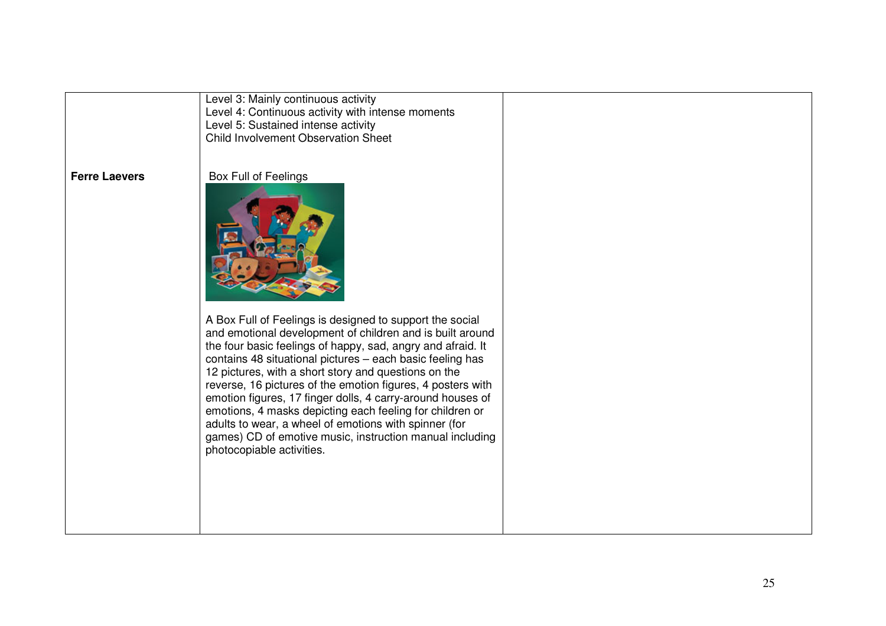Level 3: Mainly continuous activity Level 4: Continuous activity with intense moments Level 5: Sustained intense activity Child Involvement Observation Sheet

#### **Ferre Laevers**

### Box Full of Feelings



A Box Full of Feelings is designed to support the social and emotional development of children and is built around the four basic feelings of happy, sad, angry and afraid. It contains 48 situational pictures – each basic feeling has 12 pictures, with <sup>a</sup> short story and questions on the reverse, 16 pictures of the emotion figures, 4 posters with emotion figures, 17 finger dolls, 4 carry-around houses of emotions, 4 masks depicting each feeling for children or adults to wear, <sup>a</sup> wheel of emotions with spinner (for games) CD of emotive music, instruction manual including photocopiable activities.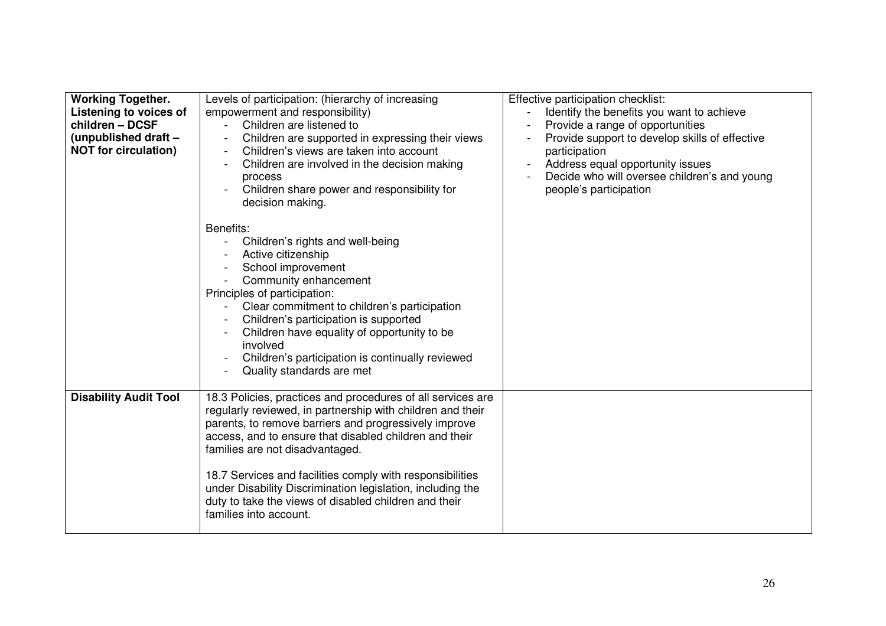| <b>Working Together.</b><br>Listening to voices of<br>children - DCSF<br>(unpublished draft -<br><b>NOT</b> for circulation) | Levels of participation: (hierarchy of increasing<br>empowerment and responsibility)<br>Children are listened to<br>Children are supported in expressing their views<br>Children's views are taken into account<br>Children are involved in the decision making<br>process<br>Children share power and responsibility for<br>decision making.                                                                                                                                                 | Effective participation checklist:<br>Identify the benefits you want to achieve<br>Provide a range of opportunities<br>Provide support to develop skills of effective<br>participation<br>Address equal opportunity issues<br>Decide who will oversee children's and young<br>people's participation |
|------------------------------------------------------------------------------------------------------------------------------|-----------------------------------------------------------------------------------------------------------------------------------------------------------------------------------------------------------------------------------------------------------------------------------------------------------------------------------------------------------------------------------------------------------------------------------------------------------------------------------------------|------------------------------------------------------------------------------------------------------------------------------------------------------------------------------------------------------------------------------------------------------------------------------------------------------|
|                                                                                                                              | Benefits:<br>Children's rights and well-being<br>Active citizenship<br>School improvement<br>Community enhancement<br>Principles of participation:<br>Clear commitment to children's participation<br>Children's participation is supported<br>Children have equality of opportunity to be<br>involved<br>Children's participation is continually reviewed<br>Quality standards are met                                                                                                       |                                                                                                                                                                                                                                                                                                      |
| <b>Disability Audit Tool</b>                                                                                                 | 18.3 Policies, practices and procedures of all services are<br>regularly reviewed, in partnership with children and their<br>parents, to remove barriers and progressively improve<br>access, and to ensure that disabled children and their<br>families are not disadvantaged.<br>18.7 Services and facilities comply with responsibilities<br>under Disability Discrimination legislation, including the<br>duty to take the views of disabled children and their<br>families into account. |                                                                                                                                                                                                                                                                                                      |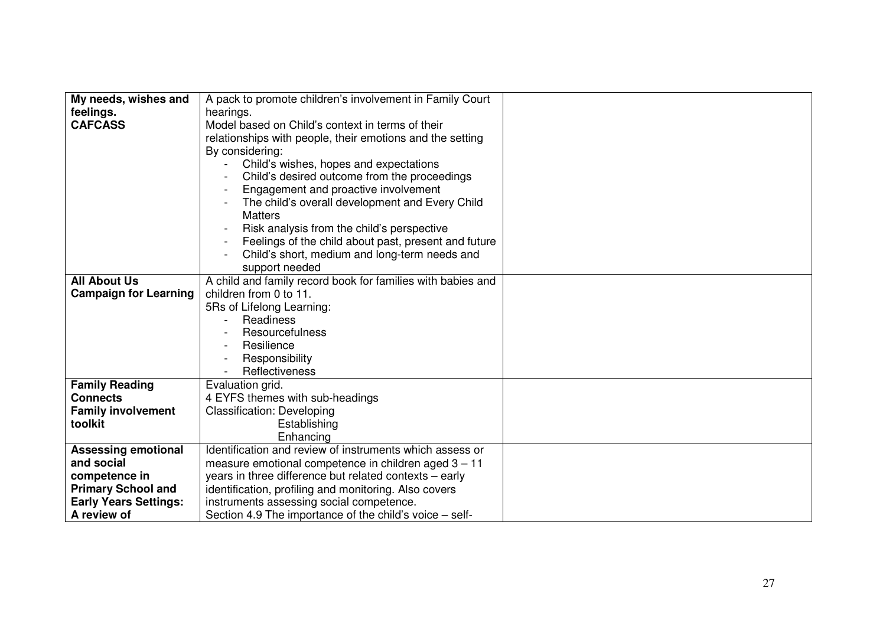| My needs, wishes and         | A pack to promote children's involvement in Family Court    |  |
|------------------------------|-------------------------------------------------------------|--|
|                              |                                                             |  |
| feelings.                    | hearings.                                                   |  |
| <b>CAFCASS</b>               | Model based on Child's context in terms of their            |  |
|                              | relationships with people, their emotions and the setting   |  |
|                              | By considering:                                             |  |
|                              | Child's wishes, hopes and expectations                      |  |
|                              | Child's desired outcome from the proceedings                |  |
|                              | Engagement and proactive involvement                        |  |
|                              | The child's overall development and Every Child             |  |
|                              | <b>Matters</b>                                              |  |
|                              | Risk analysis from the child's perspective                  |  |
|                              | Feelings of the child about past, present and future        |  |
|                              | Child's short, medium and long-term needs and               |  |
|                              | support needed                                              |  |
| <b>All About Us</b>          | A child and family record book for families with babies and |  |
| <b>Campaign for Learning</b> | children from 0 to 11.                                      |  |
|                              | 5Rs of Lifelong Learning:                                   |  |
|                              | Readiness                                                   |  |
|                              | Resourcefulness                                             |  |
|                              | Resilience                                                  |  |
|                              | Responsibility                                              |  |
|                              | Reflectiveness                                              |  |
| <b>Family Reading</b>        | Evaluation grid.                                            |  |
| <b>Connects</b>              | 4 EYFS themes with sub-headings                             |  |
| <b>Family involvement</b>    | <b>Classification: Developing</b>                           |  |
| toolkit                      | Establishing                                                |  |
|                              | Enhancing                                                   |  |
| <b>Assessing emotional</b>   | Identification and review of instruments which assess or    |  |
| and social                   | measure emotional competence in children aged 3 - 11        |  |
| competence in                | years in three difference but related contexts - early      |  |
| <b>Primary School and</b>    | identification, profiling and monitoring. Also covers       |  |
| <b>Early Years Settings:</b> | instruments assessing social competence.                    |  |
| A review of                  | Section 4.9 The importance of the child's voice – self-     |  |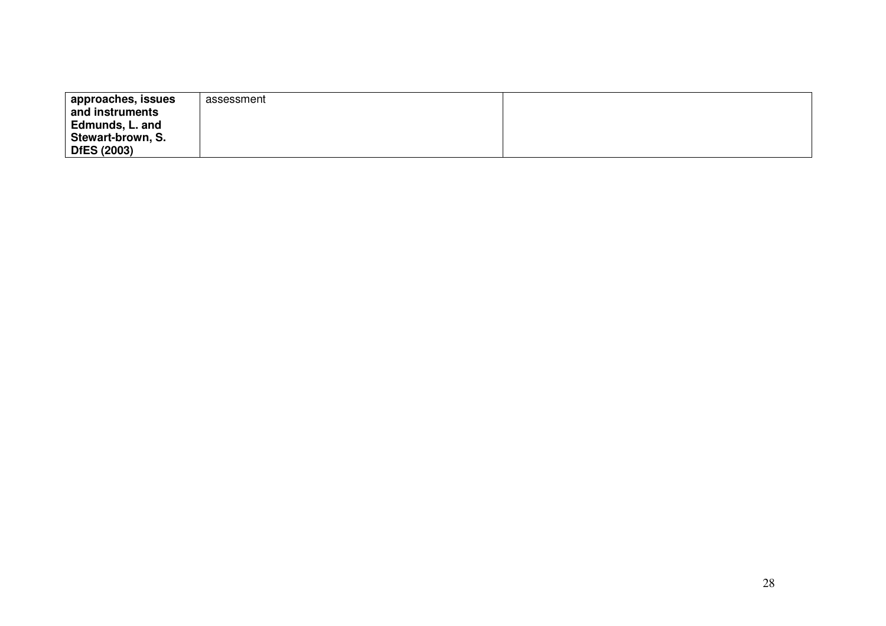| approaches, issues<br>and instruments<br>Edmunds, L. and | assessment |  |
|----------------------------------------------------------|------------|--|
| Stewart-brown, S.                                        |            |  |
| <b>DfES (2003)</b>                                       |            |  |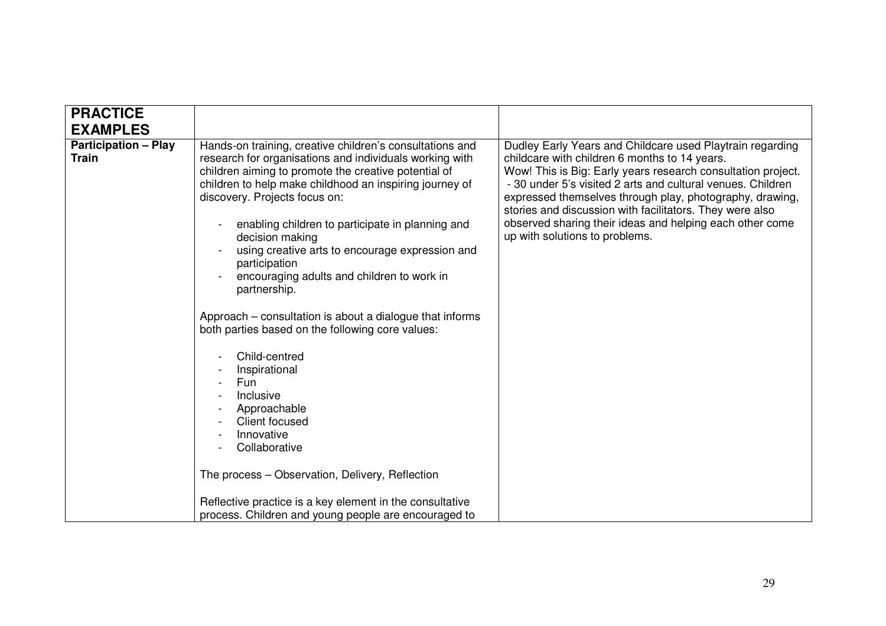| <b>PRACTICE</b>                             |                                                                                                                                                                                                                                                                                                                                                                                                                                                                                                                                                                                                                                                                                                                                                                                                                                               |                                                                                                                                                                                                                                                                                                                                                                                                                                                                 |
|---------------------------------------------|-----------------------------------------------------------------------------------------------------------------------------------------------------------------------------------------------------------------------------------------------------------------------------------------------------------------------------------------------------------------------------------------------------------------------------------------------------------------------------------------------------------------------------------------------------------------------------------------------------------------------------------------------------------------------------------------------------------------------------------------------------------------------------------------------------------------------------------------------|-----------------------------------------------------------------------------------------------------------------------------------------------------------------------------------------------------------------------------------------------------------------------------------------------------------------------------------------------------------------------------------------------------------------------------------------------------------------|
| <b>EXAMPLES</b>                             |                                                                                                                                                                                                                                                                                                                                                                                                                                                                                                                                                                                                                                                                                                                                                                                                                                               |                                                                                                                                                                                                                                                                                                                                                                                                                                                                 |
| <b>Participation - Play</b><br><b>Train</b> | Hands-on training, creative children's consultations and<br>research for organisations and individuals working with<br>children aiming to promote the creative potential of<br>children to help make childhood an inspiring journey of<br>discovery. Projects focus on:<br>enabling children to participate in planning and<br>decision making<br>using creative arts to encourage expression and<br>participation<br>encouraging adults and children to work in<br>partnership.<br>Approach – consultation is about a dialogue that informs<br>both parties based on the following core values:<br>Child-centred<br>Inspirational<br>Fun<br>Inclusive<br>Approachable<br><b>Client focused</b><br>Innovative<br>Collaborative<br>The process - Observation, Delivery, Reflection<br>Reflective practice is a key element in the consultative | Dudley Early Years and Childcare used Playtrain regarding<br>childcare with children 6 months to 14 years.<br>Wow! This is Big: Early years research consultation project.<br>- 30 under 5's visited 2 arts and cultural venues. Children<br>expressed themselves through play, photography, drawing,<br>stories and discussion with facilitators. They were also<br>observed sharing their ideas and helping each other come<br>up with solutions to problems. |
|                                             | process. Children and young people are encouraged to                                                                                                                                                                                                                                                                                                                                                                                                                                                                                                                                                                                                                                                                                                                                                                                          |                                                                                                                                                                                                                                                                                                                                                                                                                                                                 |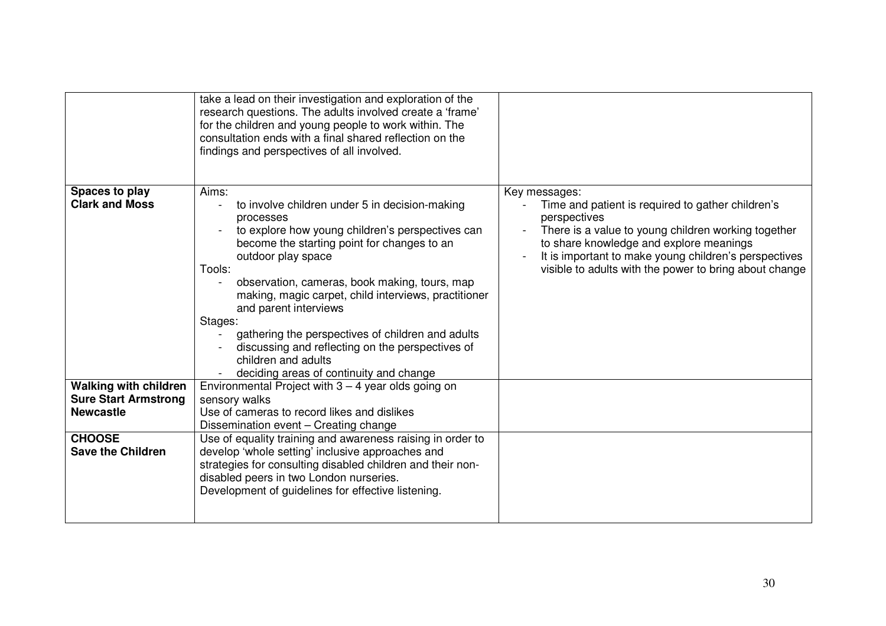|                                                                                                                              | take a lead on their investigation and exploration of the<br>research questions. The adults involved create a 'frame'<br>for the children and young people to work within. The<br>consultation ends with a final shared reflection on the<br>findings and perspectives of all involved.                                                                                                                                                                                                                                                           |                                                                                                                                                                                                                                                                                                         |
|------------------------------------------------------------------------------------------------------------------------------|---------------------------------------------------------------------------------------------------------------------------------------------------------------------------------------------------------------------------------------------------------------------------------------------------------------------------------------------------------------------------------------------------------------------------------------------------------------------------------------------------------------------------------------------------|---------------------------------------------------------------------------------------------------------------------------------------------------------------------------------------------------------------------------------------------------------------------------------------------------------|
| Spaces to play<br><b>Clark and Moss</b>                                                                                      | Aims:<br>to involve children under 5 in decision-making<br>processes<br>to explore how young children's perspectives can<br>become the starting point for changes to an<br>outdoor play space<br>Tools:<br>observation, cameras, book making, tours, map<br>$\blacksquare$<br>making, magic carpet, child interviews, practitioner<br>and parent interviews<br>Stages:<br>gathering the perspectives of children and adults<br>discussing and reflecting on the perspectives of<br>children and adults<br>deciding areas of continuity and change | Key messages:<br>Time and patient is required to gather children's<br>perspectives<br>There is a value to young children working together<br>to share knowledge and explore meanings<br>It is important to make young children's perspectives<br>visible to adults with the power to bring about change |
| <b>Walking with children</b><br><b>Sure Start Armstrong</b><br><b>Newcastle</b><br><b>CHOOSE</b><br><b>Save the Children</b> | Environmental Project with $3 - 4$ year olds going on<br>sensory walks<br>Use of cameras to record likes and dislikes<br>Dissemination event - Creating change<br>Use of equality training and awareness raising in order to<br>develop 'whole setting' inclusive approaches and<br>strategies for consulting disabled children and their non-<br>disabled peers in two London nurseries.<br>Development of guidelines for effective listening.                                                                                                   |                                                                                                                                                                                                                                                                                                         |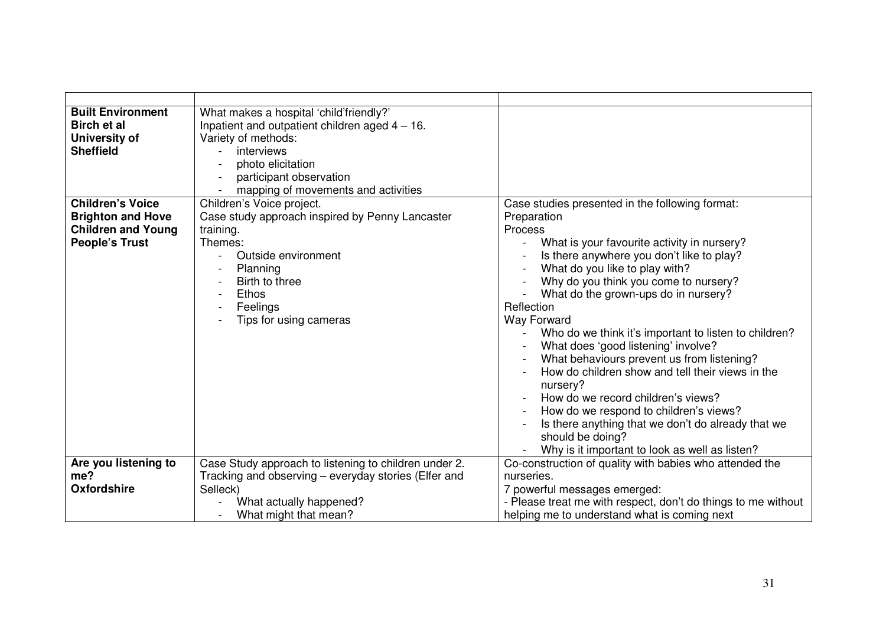| <b>Built Environment</b><br><b>Birch et al</b><br>University of<br><b>Sheffield</b>                       | What makes a hospital 'child'friendly?'<br>Inpatient and outpatient children aged $4 - 16$ .<br>Variety of methods:<br>interviews<br>$\overline{a}$<br>photo elicitation<br>participant observation<br>mapping of movements and activities |                                                                                                                                                                                                                                                                                                                                                                                                                                                                                                                                                                                                                                                                                                                                                               |
|-----------------------------------------------------------------------------------------------------------|--------------------------------------------------------------------------------------------------------------------------------------------------------------------------------------------------------------------------------------------|---------------------------------------------------------------------------------------------------------------------------------------------------------------------------------------------------------------------------------------------------------------------------------------------------------------------------------------------------------------------------------------------------------------------------------------------------------------------------------------------------------------------------------------------------------------------------------------------------------------------------------------------------------------------------------------------------------------------------------------------------------------|
| <b>Children's Voice</b><br><b>Brighton and Hove</b><br><b>Children and Young</b><br><b>People's Trust</b> | Children's Voice project.<br>Case study approach inspired by Penny Lancaster<br>training.<br>Themes:<br>Outside environment<br>Planning<br>Birth to three<br>Ethos<br>Feelings<br>Tips for using cameras                                   | Case studies presented in the following format:<br>Preparation<br><b>Process</b><br>What is your favourite activity in nursery?<br>Is there anywhere you don't like to play?<br>What do you like to play with?<br>Why do you think you come to nursery?<br>What do the grown-ups do in nursery?<br>Reflection<br><b>Way Forward</b><br>Who do we think it's important to listen to children?<br>What does 'good listening' involve?<br>What behaviours prevent us from listening?<br>How do children show and tell their views in the<br>nursery?<br>How do we record children's views?<br>How do we respond to children's views?<br>Is there anything that we don't do already that we<br>should be doing?<br>Why is it important to look as well as listen? |
| Are you listening to<br>me?<br><b>Oxfordshire</b>                                                         | Case Study approach to listening to children under 2.<br>Tracking and observing – everyday stories (Elfer and<br>Selleck)<br>What actually happened?<br>What might that mean?                                                              | Co-construction of quality with babies who attended the<br>nurseries.<br>7 powerful messages emerged:<br>- Please treat me with respect, don't do things to me without<br>helping me to understand what is coming next                                                                                                                                                                                                                                                                                                                                                                                                                                                                                                                                        |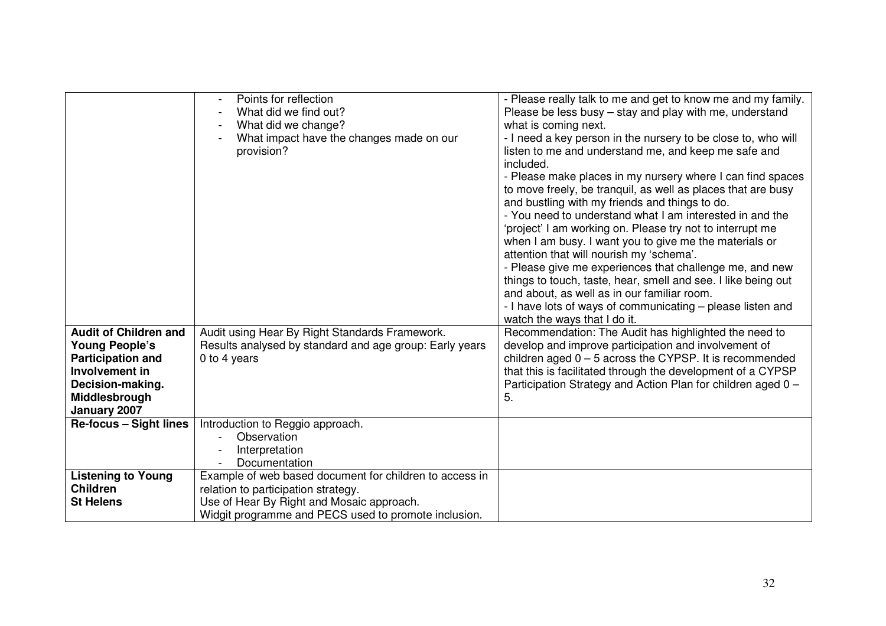|                               | Points for reflection                                   | - Please really talk to me and get to know me and my family.  |  |  |
|-------------------------------|---------------------------------------------------------|---------------------------------------------------------------|--|--|
|                               | What did we find out?                                   | Please be less busy – stay and play with me, understand       |  |  |
|                               |                                                         |                                                               |  |  |
|                               | What did we change?                                     | what is coming next.                                          |  |  |
|                               | What impact have the changes made on our                | - I need a key person in the nursery to be close to, who will |  |  |
|                               | provision?                                              | listen to me and understand me, and keep me safe and          |  |  |
|                               |                                                         | included.                                                     |  |  |
|                               |                                                         | - Please make places in my nursery where I can find spaces    |  |  |
|                               |                                                         | to move freely, be tranquil, as well as places that are busy  |  |  |
|                               |                                                         | and bustling with my friends and things to do.                |  |  |
|                               |                                                         | - You need to understand what I am interested in and the      |  |  |
|                               |                                                         | 'project' I am working on. Please try not to interrupt me     |  |  |
|                               |                                                         | when I am busy. I want you to give me the materials or        |  |  |
|                               |                                                         | attention that will nourish my 'schema'.                      |  |  |
|                               |                                                         | - Please give me experiences that challenge me, and new       |  |  |
|                               |                                                         | things to touch, taste, hear, smell and see. I like being out |  |  |
|                               |                                                         | and about, as well as in our familiar room.                   |  |  |
|                               |                                                         | - I have lots of ways of communicating - please listen and    |  |  |
|                               |                                                         |                                                               |  |  |
|                               |                                                         | watch the ways that I do it.                                  |  |  |
| <b>Audit of Children and</b>  | Audit using Hear By Right Standards Framework.          | Recommendation: The Audit has highlighted the need to         |  |  |
| <b>Young People's</b>         | Results analysed by standard and age group: Early years | develop and improve participation and involvement of          |  |  |
| <b>Participation and</b>      | 0 to 4 years                                            | children aged $0 - 5$ across the CYPSP. It is recommended     |  |  |
| Involvement in                |                                                         | that this is facilitated through the development of a CYPSP   |  |  |
| Decision-making.              |                                                         | Participation Strategy and Action Plan for children aged 0 -  |  |  |
| Middlesbrough                 |                                                         | 5.                                                            |  |  |
| January 2007                  |                                                         |                                                               |  |  |
| <b>Re-focus - Sight lines</b> | Introduction to Reggio approach.                        |                                                               |  |  |
|                               | Observation                                             |                                                               |  |  |
|                               | Interpretation                                          |                                                               |  |  |
|                               | Documentation                                           |                                                               |  |  |
| <b>Listening to Young</b>     | Example of web based document for children to access in |                                                               |  |  |
| <b>Children</b>               | relation to participation strategy.                     |                                                               |  |  |
| <b>St Helens</b>              | Use of Hear By Right and Mosaic approach.               |                                                               |  |  |
|                               | Widgit programme and PECS used to promote inclusion.    |                                                               |  |  |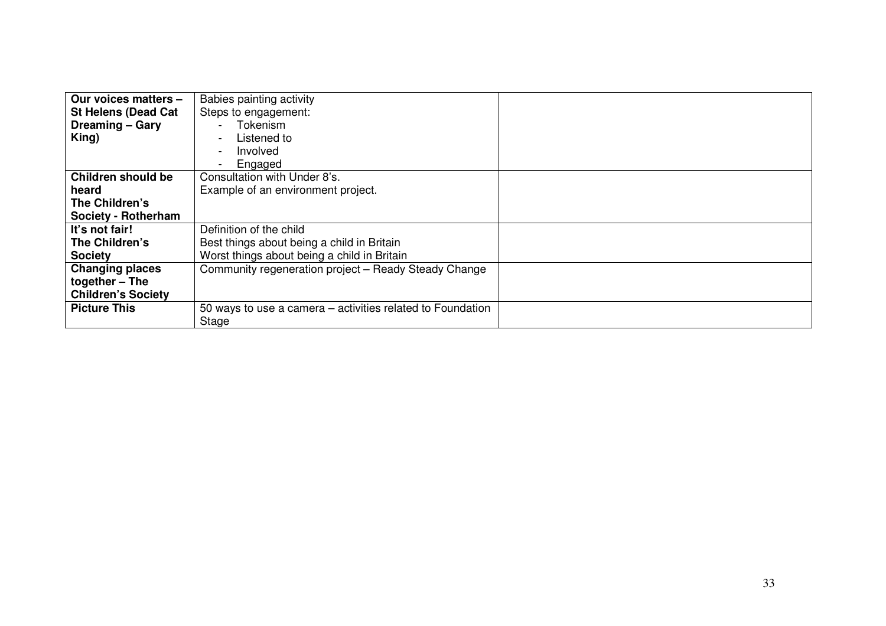| Our voices matters -<br><b>St Helens (Dead Cat</b><br><b>Dreaming – Gary</b><br>King) | Babies painting activity<br>Steps to engagement:<br>Tokenism<br>Listened to<br>$\overline{\phantom{a}}$<br>Involved |
|---------------------------------------------------------------------------------------|---------------------------------------------------------------------------------------------------------------------|
|                                                                                       | Engaged<br>$\blacksquare$                                                                                           |
| Children should be                                                                    | Consultation with Under 8's.                                                                                        |
| heard                                                                                 | Example of an environment project.                                                                                  |
| The Children's                                                                        |                                                                                                                     |
| Society - Rotherham                                                                   |                                                                                                                     |
| It's not fair!                                                                        | Definition of the child                                                                                             |
| The Children's                                                                        | Best things about being a child in Britain                                                                          |
| <b>Society</b>                                                                        | Worst things about being a child in Britain                                                                         |
| <b>Changing places</b>                                                                | Community regeneration project - Ready Steady Change                                                                |
| together $-$ The                                                                      |                                                                                                                     |
| <b>Children's Society</b>                                                             |                                                                                                                     |
| <b>Picture This</b>                                                                   | 50 ways to use a camera - activities related to Foundation                                                          |
|                                                                                       | Stage                                                                                                               |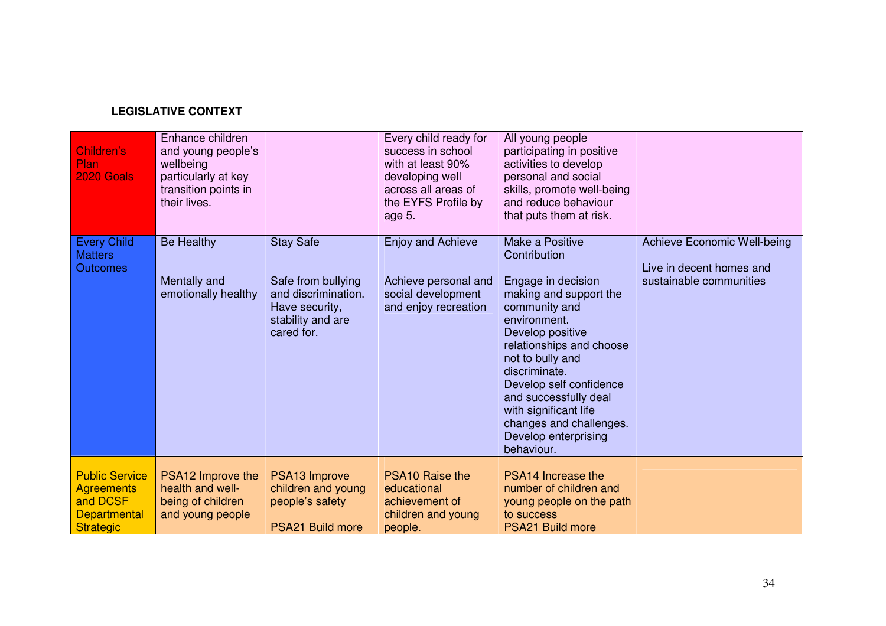## **LEGISLATIVE CONTEXT**

| Children's<br>Plan<br><b>2020 Goals</b>                                                           | Enhance children<br>and young people's<br>wellbeing<br>particularly at key<br>transition points in<br>their lives. |                                                                                                                    | Every child ready for<br>success in school<br>with at least 90%<br>developing well<br>across all areas of<br>the EYFS Profile by<br>age 5. | All young people<br>participating in positive<br>activities to develop<br>personal and social<br>skills, promote well-being<br>and reduce behaviour<br>that puts them at risk.                                                                                                                                                                      |                                                                                           |
|---------------------------------------------------------------------------------------------------|--------------------------------------------------------------------------------------------------------------------|--------------------------------------------------------------------------------------------------------------------|--------------------------------------------------------------------------------------------------------------------------------------------|-----------------------------------------------------------------------------------------------------------------------------------------------------------------------------------------------------------------------------------------------------------------------------------------------------------------------------------------------------|-------------------------------------------------------------------------------------------|
| <b>Every Child</b><br><b>Matters</b><br><b>Outcomes</b>                                           | <b>Be Healthy</b><br>Mentally and<br>emotionally healthy                                                           | <b>Stay Safe</b><br>Safe from bullying<br>and discrimination.<br>Have security,<br>stability and are<br>cared for. | <b>Enjoy and Achieve</b><br>Achieve personal and<br>social development<br>and enjoy recreation                                             | Make a Positive<br>Contribution<br>Engage in decision<br>making and support the<br>community and<br>environment.<br>Develop positive<br>relationships and choose<br>not to bully and<br>discriminate.<br>Develop self confidence<br>and successfully deal<br>with significant life<br>changes and challenges.<br>Develop enterprising<br>behaviour. | <b>Achieve Economic Well-being</b><br>Live in decent homes and<br>sustainable communities |
| <b>Public Service</b><br><b>Agreements</b><br>and DCSF<br><b>Departmental</b><br><b>Strategic</b> | PSA12 Improve the<br>health and well-<br>being of children<br>and young people                                     | PSA13 Improve<br>children and young<br>people's safety<br><b>PSA21 Build more</b>                                  | <b>PSA10 Raise the</b><br>educational<br>achievement of<br>children and young<br>people.                                                   | PSA14 Increase the<br>number of children and<br>young people on the path<br>to success<br><b>PSA21 Build more</b>                                                                                                                                                                                                                                   |                                                                                           |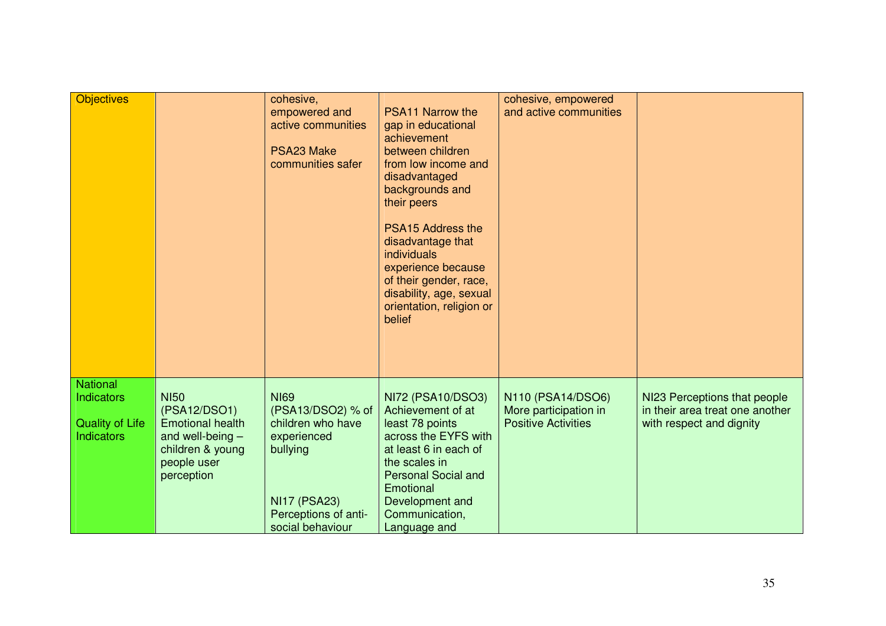| <b>Objectives</b>                                                            |                                                                                                                               | cohesive,<br>empowered and<br>active communities<br>PSA23 Make<br>communities safer                                                                 | <b>PSA11 Narrow the</b><br>gap in educational<br>achievement<br>between children<br>from low income and<br>disadvantaged<br>backgrounds and<br>their peers<br><b>PSA15 Address the</b><br>disadvantage that<br>individuals<br>experience because<br>of their gender, race,<br>disability, age, sexual<br>orientation, religion or<br>belief | cohesive, empowered<br>and active communities                            |                                                                                             |
|------------------------------------------------------------------------------|-------------------------------------------------------------------------------------------------------------------------------|-----------------------------------------------------------------------------------------------------------------------------------------------------|---------------------------------------------------------------------------------------------------------------------------------------------------------------------------------------------------------------------------------------------------------------------------------------------------------------------------------------------|--------------------------------------------------------------------------|---------------------------------------------------------------------------------------------|
| <b>National</b><br>Indicators<br><b>Quality of Life</b><br><b>Indicators</b> | <b>NI50</b><br>(PSA12/DSO1)<br><b>Emotional health</b><br>and well-being $-$<br>children & young<br>people user<br>perception | <b>NI69</b><br>(PSA13/DSO2) % of<br>children who have<br>experienced<br>bullying<br><b>NI17 (PSA23)</b><br>Perceptions of anti-<br>social behaviour | NI72 (PSA10/DSO3)<br>Achievement of at<br>least 78 points<br>across the EYFS with<br>at least 6 in each of<br>the scales in<br><b>Personal Social and</b><br>Emotional<br>Development and<br>Communication,<br>Language and                                                                                                                 | N110 (PSA14/DSO6)<br>More participation in<br><b>Positive Activities</b> | NI23 Perceptions that people<br>in their area treat one another<br>with respect and dignity |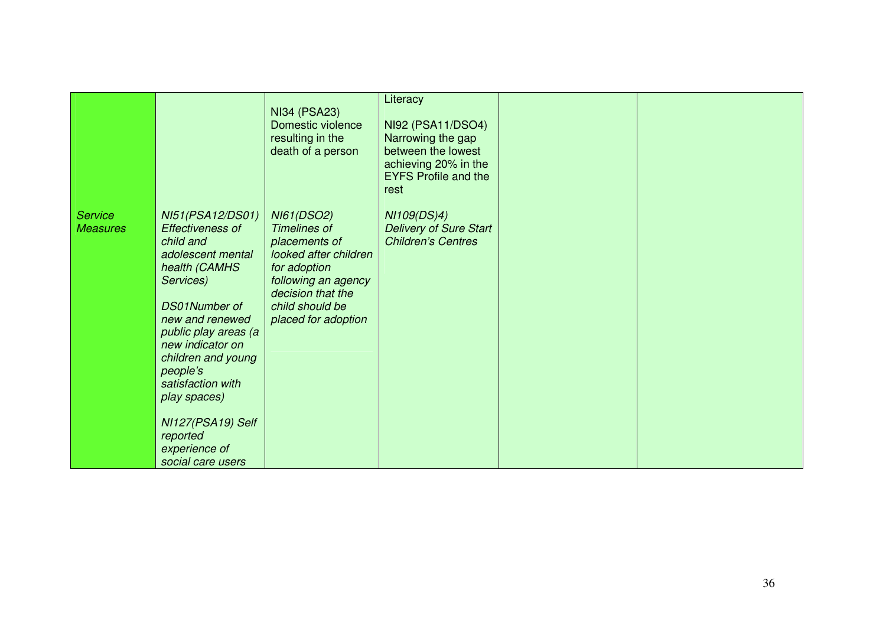|                                   |                                                                                                                                                                                                                                                                                                                                           | <b>NI34 (PSA23)</b><br>Domestic violence<br>resulting in the<br>death of a person                                                                                                        | Literacy<br>NI92 (PSA11/DSO4)<br>Narrowing the gap<br>between the lowest<br>achieving 20% in the<br><b>EYFS Profile and the</b><br>rest |  |
|-----------------------------------|-------------------------------------------------------------------------------------------------------------------------------------------------------------------------------------------------------------------------------------------------------------------------------------------------------------------------------------------|------------------------------------------------------------------------------------------------------------------------------------------------------------------------------------------|-----------------------------------------------------------------------------------------------------------------------------------------|--|
| <b>Service</b><br><b>Measures</b> | NI51(PSA12/DS01)<br><b>Effectiveness of</b><br>child and<br>adolescent mental<br>health (CAMHS<br>Services)<br>DS01Number of<br>new and renewed<br>public play areas (a<br>new indicator on<br>children and young<br>people's<br>satisfaction with<br>play spaces)<br>NI127(PSA19) Self<br>reported<br>experience of<br>social care users | <b>NI61(DSO2)</b><br><b>Timelines of</b><br>placements of<br>looked after children<br>for adoption<br>following an agency<br>decision that the<br>child should be<br>placed for adoption | NI109(DS)4)<br><b>Delivery of Sure Start</b><br><b>Children's Centres</b>                                                               |  |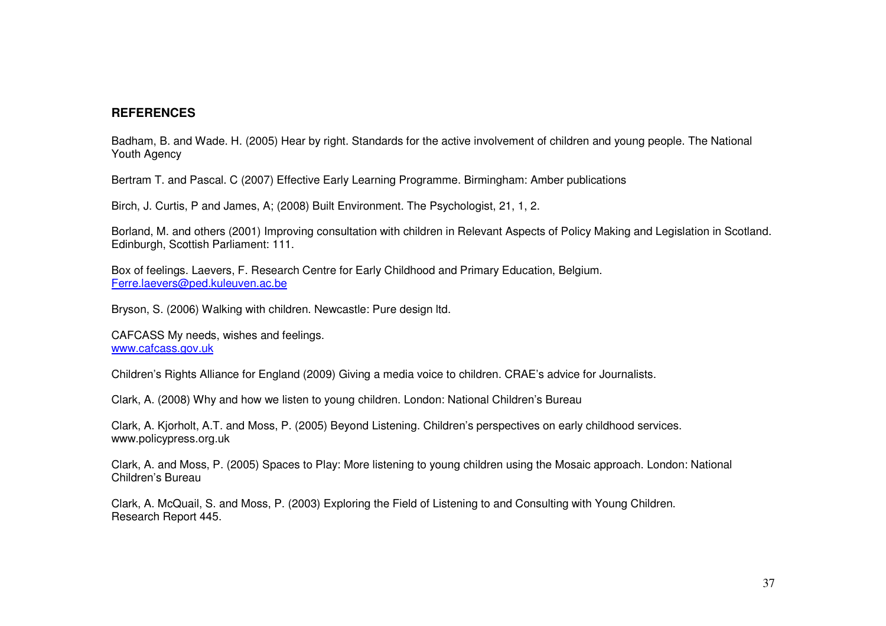## **REFERENCES**

Badham, B. and Wade. H. (2005) Hear by right. Standards for the active involvement of children and young people. The National Youth Agency

Bertram T. and Pascal. C (2007) Effective Early Learning Programme. Birmingham: Amber publications

Birch, J. Curtis, P and James, A; (2008) Built Environment. The Psychologist, 21, 1, 2.

Borland, M. and others (2001) Improving consultation with children in Relevant Aspects of Policy Making and Legislation in Scotland. Edinburgh, Scottish Parliament: 111.

Box of feelings. Laevers, F. Research Centre for Early Childhood and Primary Education, Belgium. Ferre.laevers@ped.kuleuven.ac.be

Bryson, S. (2006) Walking with children. Newcastle: Pure design ltd.

CAFCASS My needs, wishes and feelings. www.cafcass.gov.uk

Children's Rights Alliance for England (2009) Giving <sup>a</sup> media voice to children. CRAE's advice for Journalists.

Clark, A. (2008) Why and how we listen to young children. London: National Children's Bureau

Clark, A. Kjorholt, A.T. and Moss, P. (2005) Beyond Listening. Children's perspectives on early childhood services. www.policypress.org.uk

Clark, A. and Moss, P. (2005) Spaces to Play: More listening to young children using the Mosaic approach. London: National Children's Bureau

Clark, A. McQuail, S. and Moss, P. (2003) Exploring the Field of Listening to and Consulting with Young Children. Research Report 445.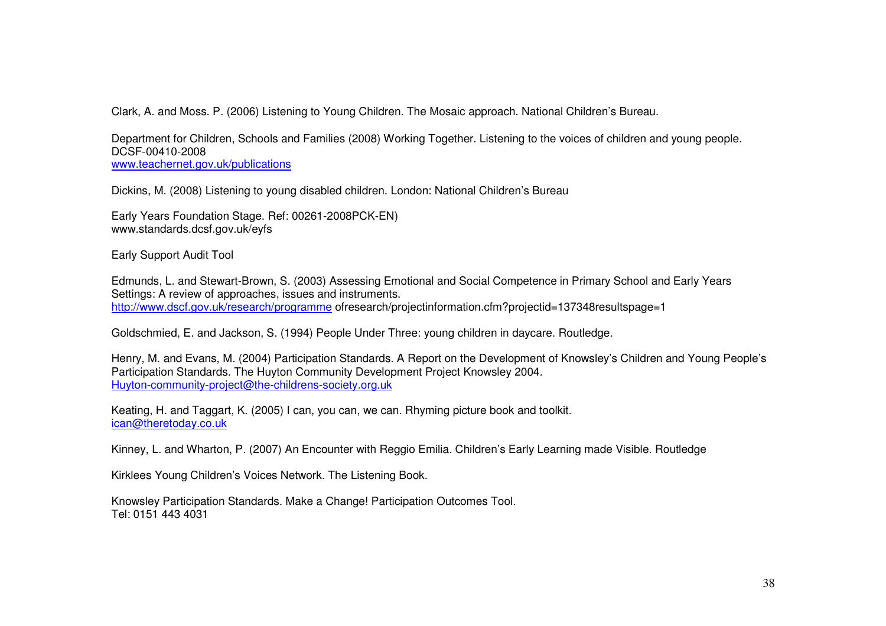Clark, A. and Moss. P. (2006) Listening to Young Children. The Mosaic approach. National Children's Bureau.

Department for Children, Schools and Families (2008) Working Together. Listening to the voices of children and young people. DCSF-00410-2008

www.teachernet.gov.uk/publications

Dickins, M. (2008) Listening to young disabled children. London: National Children's Bureau

Early Years Foundation Stage. Ref: 00261-2008PCK-EN) www.standards.dcsf.gov.uk/eyfs

Early Support Audit Tool

Edmunds, L. and Stewart-Brown, S. (2003) Assessing Emotional and Social Competence in Primary School and Early Years Settings: A review of approaches, issues and instruments. http://www.dscf.gov.uk/research/programme ofresearch/projectinformation.cfm?projectid=137348resultspage=1

Goldschmied, E. and Jackson, S. (1994) People Under Three: young children in daycare. Routledge.

Henry, M. and Evans, M. (2004) Participation Standards. A Report on the Development of Knowsley's Children and Young People's Participation Standards. The Huyton Community Development Project Knowsley 2004. Huyton-community-project@the-childrens-society.org.uk

Keating, H. and Taggart, K. (2005) I can, you can, we can. Rhyming picture book and toolkit. ican@theretoday.co.uk

Kinney, L. and Wharton, P. (2007) An Encounter with Reggio Emilia. Children's Early Learning made Visible. Routledge

Kirklees Young Children's Voices Network. The Listening Book.

Knowsley Participation Standards. Make <sup>a</sup> Change! Participation Outcomes Tool. Tel: 0151 443 4031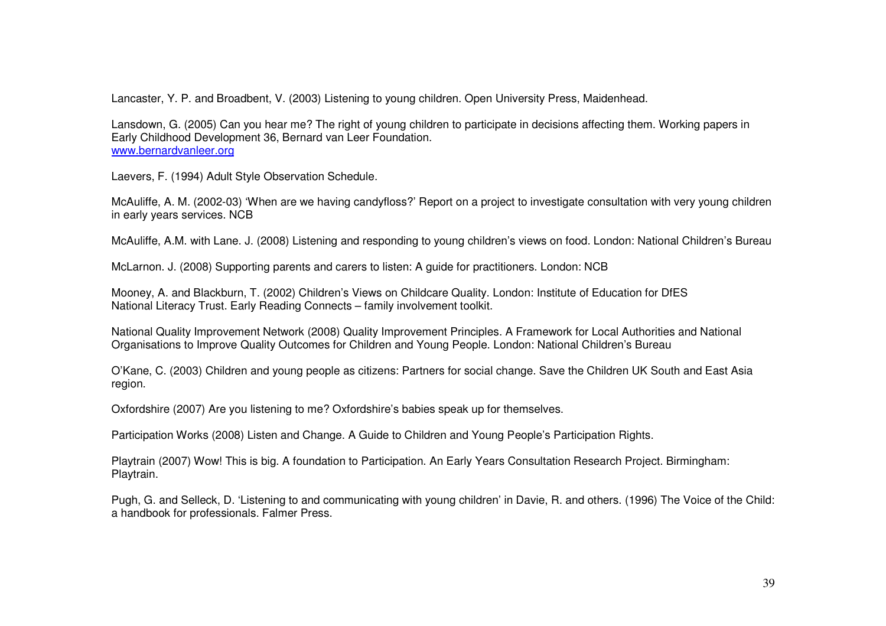Lancaster, Y. P. and Broadbent, V. (2003) Listening to young children. Open University Press, Maidenhead.

Lansdown, G. (2005) Can you hear me? The right of young children to participate in decisions affecting them. Working papers in Early Childhood Development 36, Bernard van Leer Foundation. www.bernardvanleer.org

Laevers, F. (1994) Adult Style Observation Schedule.

McAuliffe, A. M. (2002-03) 'When are we having candyfloss?' Report on <sup>a</sup> project to investigate consultation with very young children in early years services. NCB

McAuliffe, A.M. with Lane. J. (2008) Listening and responding to young children's views on food. London: National Children's Bureau

McLarnon. J. (2008) Supporting parents and carers to listen: A guide for practitioners. London: NCB

Mooney, A. and Blackburn, T. (2002) Children's Views on Childcare Quality. London: Institute of Education for DfES National Literacy Trust. Early Reading Connects – family involvement toolkit.

National Quality Improvement Network (2008) Quality Improvement Principles. A Framework for Local Authorities and National Organisations to Improve Quality Outcomes for Children and Young People. London: National Children's Bureau

O'Kane, C. (2003) Children and young people as citizens: Partners for social change. Save the Children UK South and East Asia region.

Oxfordshire (2007) Are you listening to me? Oxfordshire's babies speak up for themselves.

Participation Works (2008) Listen and Change. A Guide to Children and Young People's Participation Rights.

Playtrain (2007) Wow! This is big. A foundation to Participation. An Early Years Consultation Research Project. Birmingham: Playtrain.

Pugh, G. and Selleck, D. 'Listening to and communicating with young children' in Davie, R. and others. (1996) The Voice of the Child: a handbook for professionals. Falmer Press.